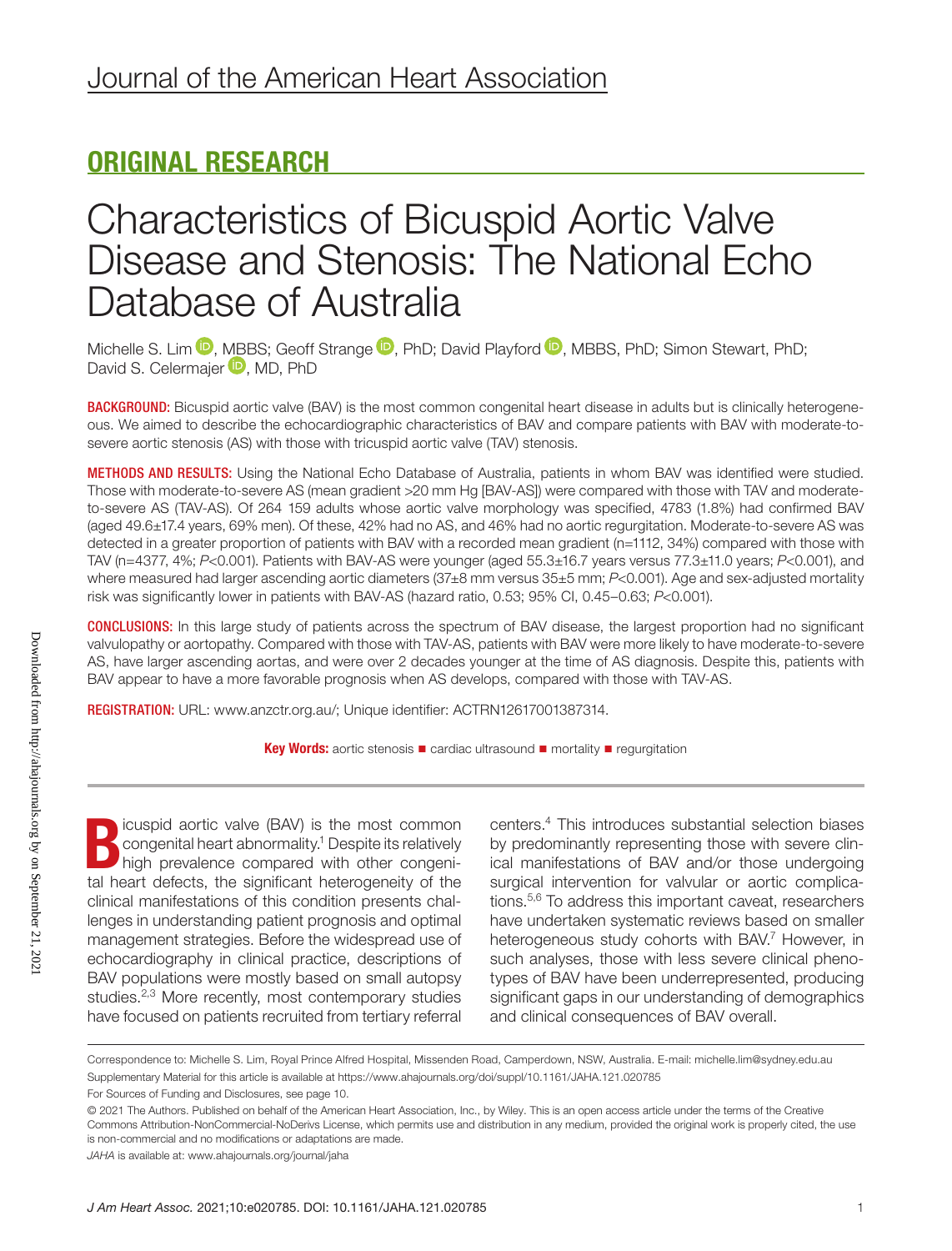# ORIGINAL RESEARCH

# Characteristics of Bicuspid Aortic Valve Disease and Stenosis: The National Echo Database of Australia

Michelle S. Lim  $\mathbb D$ [,](https://orcid.org/0000-0003-4492-1103) [MBB](https://orcid.org/0000-0001-7640-0439)S; Geoff Strange  $\mathbb D$ , PhD; David Playford  $\mathbb D$ , MBBS, PhD; Simon Stewart, PhD; David S. Celermajer **D**, MD, PhD

BACKGROUND: Bicuspid aortic valve (BAV) is the most common congenital heart disease in adults but is clinically heterogeneous. We aimed to describe the echocardiographic characteristics of BAV and compare patients with BAV with moderate-tosevere aortic stenosis (AS) with those with tricuspid aortic valve (TAV) stenosis.

METHODS AND RESULTS: Using the National Echo Database of Australia, patients in whom BAV was identified were studied. Those with moderate-to-severe AS (mean gradient >20 mm Hg [BAV-AS]) were compared with those with TAV and moderateto-severe AS (TAV-AS). Of 264 159 adults whose aortic valve morphology was specified, 4783 (1.8%) had confirmed BAV (aged 49.6±17.4 years, 69% men). Of these, 42% had no AS, and 46% had no aortic regurgitation. Moderate-to-severe AS was detected in a greater proportion of patients with BAV with a recorded mean gradient (n=1112, 34%) compared with those with TAV (n=4377, 4%; *P*<0.001). Patients with BAV-AS were younger (aged 55.3±16.7 years versus 77.3±11.0 years; *P*<0.001), and where measured had larger ascending aortic diameters (37±8 mm versus 35±5 mm; *P*<0.001). Age and sex-adjusted mortality risk was significantly lower in patients with BAV-AS (hazard ratio, 0.53; 95% CI, 0.45–0.63; *P*<0.001).

CONCLUSIONS: In this large study of patients across the spectrum of BAV disease, the largest proportion had no significant valvulopathy or aortopathy. Compared with those with TAV-AS, patients with BAV were more likely to have moderate-to-severe AS, have larger ascending aortas, and were over 2 decades younger at the time of AS diagnosis. Despite this, patients with BAV appear to have a more favorable prognosis when AS develops, compared with those with TAV-AS.

REGISTRATION: URL: [www.anzctr.org.au/](http://www.anzctr.org.au/); Unique identifier: ACTRN12617001387314.

**Key Words:** aortic stenosis ■ cardiac ultrasound ■ mortality ■ regurgitation

Explicuspid aortic valve (BAV) is the most common congenital heart abnormality.<sup>1</sup> Despite its relatively high prevalence compared with other congenital heart defects, the cignificant betersconsity of the congenital heart abnormality.<sup>1</sup> Despite its relatively high prevalence compared with other congenital heart defects, the significant heterogeneity of the clinical manifestations of this condition presents challenges in understanding patient prognosis and optimal management strategies. Before the widespread use of echocardiography in clinical practice, descriptions of BAV populations were mostly based on small autopsy studies.<sup>2,3</sup> More recently, most contemporary studies have focused on patients recruited from tertiary referral

centers.4 This introduces substantial selection biases by predominantly representing those with severe clinical manifestations of BAV and/or those undergoing surgical intervention for valvular or aortic complications.5,6 To address this important caveat, researchers have undertaken systematic reviews based on smaller heterogeneous study cohorts with BAV.<sup>7</sup> However, in such analyses, those with less severe clinical phenotypes of BAV have been underrepresented, producing significant gaps in our understanding of demographics and clinical consequences of BAV overall.

Correspondence to: Michelle S. Lim, Royal Prince Alfred Hospital, Missenden Road, Camperdown, NSW, Australia. E-mail: [michelle.lim@sydney.edu.au](mailto:michelle.lim@sydney.edu.au) Supplementary Material for this article is available at <https://www.ahajournals.org/doi/suppl/10.1161/JAHA.121.020785>

*JAHA* is available at: [www.ahajournals.org/journal/jaha](https://www.ahajournals.org/journal/jaha)

Downloaded from http://ahajournals.org by on September 21, 202 Downloaded from http://ahajournals.org by on September 21, 2021

For Sources of Funding and Disclosures, see page 10.

<sup>© 2021</sup> The Authors. Published on behalf of the American Heart Association, Inc., by Wiley. This is an open access article under the terms of the [Creative](http://creativecommons.org/licenses/by-nc-nd/4.0/)  [Commons Attribution-NonCommercial-NoDerivs](http://creativecommons.org/licenses/by-nc-nd/4.0/) License, which permits use and distribution in any medium, provided the original work is properly cited, the use is non-commercial and no modifications or adaptations are made.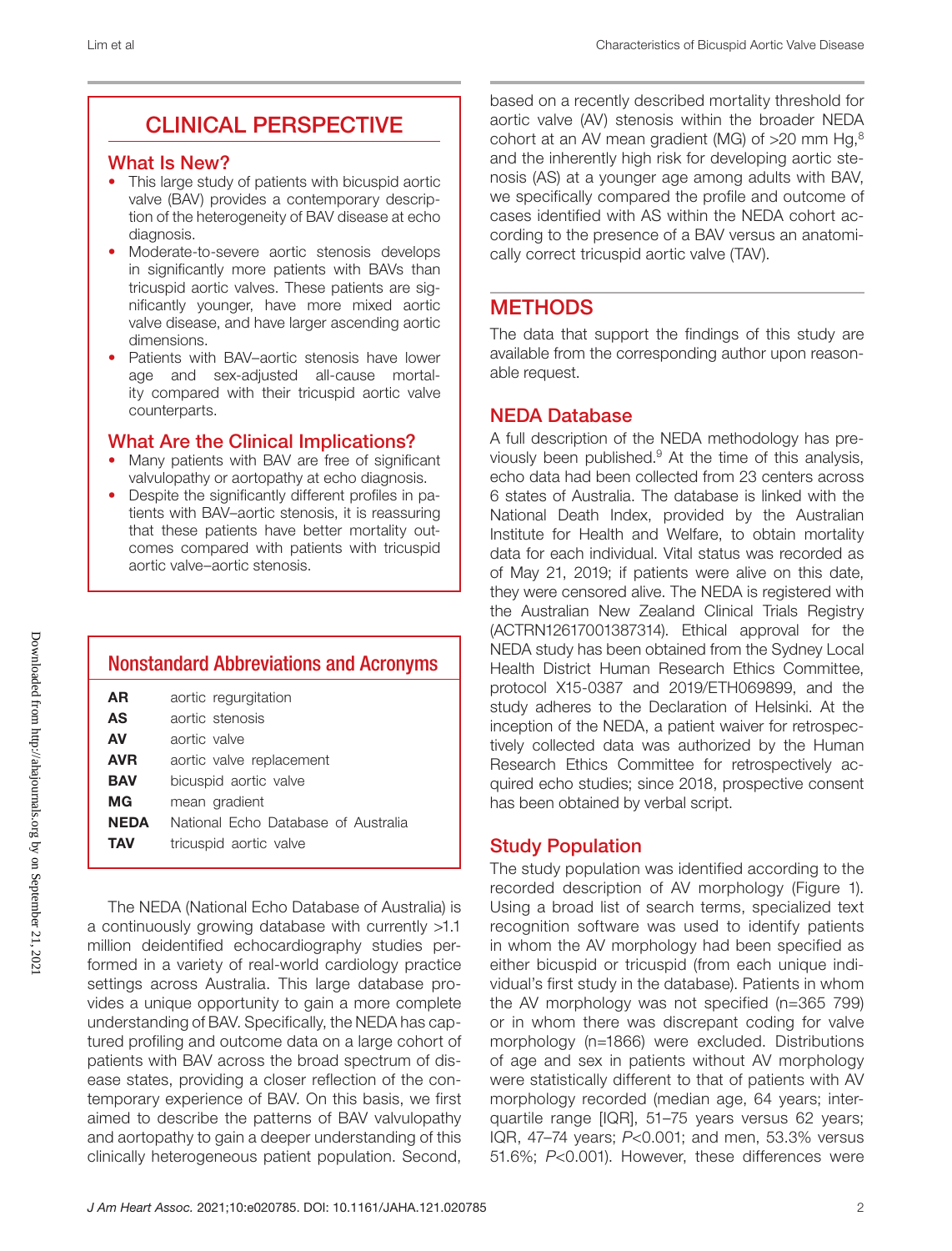# CLINICAL PERSPECTIVE

### What Is New?

- This large study of patients with bicuspid aortic valve (BAV) provides a contemporary description of the heterogeneity of BAV disease at echo diagnosis.
- Moderate-to-severe aortic stenosis develops in significantly more patients with BAVs than tricuspid aortic valves. These patients are significantly younger, have more mixed aortic valve disease, and have larger ascending aortic dimensions.
- Patients with BAV–aortic stenosis have lower age and sex-adjusted all-cause mortality compared with their tricuspid aortic valve counterparts.

### What Are the Clinical Implications?

- Many patients with BAV are free of significant valvulopathy or aortopathy at echo diagnosis.
- Despite the significantly different profiles in patients with BAV–aortic stenosis, it is reassuring that these patients have better mortality outcomes compared with patients with tricuspid aortic valve–aortic stenosis.

|            | <b>Nonstandard Abbreviations and Acronyms</b> |
|------------|-----------------------------------------------|
| AR         | aortic regurgitation                          |
| <b>AS</b>  | aortic stenosis                               |
| AV         | aortic valve                                  |
| <b>AVR</b> | aortic valve replacement                      |
| BAV        | bicuspid aortic valve                         |
| MG         | mean gradient                                 |
| NEDA       | National Echo Database of Australia           |
| ΤΑV        | tricuspid aortic valve                        |

The NEDA (National Echo Database of Australia) is a continuously growing database with currently >1.1 million deidentified echocardiography studies performed in a variety of real-world cardiology practice settings across Australia. This large database provides a unique opportunity to gain a more complete understanding of BAV. Specifically, the NEDA has captured profiling and outcome data on a large cohort of patients with BAV across the broad spectrum of disease states, providing a closer reflection of the contemporary experience of BAV. On this basis, we first aimed to describe the patterns of BAV valvulopathy and aortopathy to gain a deeper understanding of this clinically heterogeneous patient population. Second,

based on a recently described mortality threshold for aortic valve (AV) stenosis within the broader NEDA cohort at an AV mean gradient (MG) of  $>20$  mm Hg, $8$ and the inherently high risk for developing aortic stenosis (AS) at a younger age among adults with BAV, we specifically compared the profile and outcome of cases identified with AS within the NEDA cohort according to the presence of a BAV versus an anatomically correct tricuspid aortic valve (TAV).

# **METHODS**

The data that support the findings of this study are available from the corresponding author upon reasonable request.

# NEDA Database

A full description of the NEDA methodology has previously been published. $9$  At the time of this analysis, echo data had been collected from 23 centers across 6 states of Australia. The database is linked with the National Death Index, provided by the Australian Institute for Health and Welfare, to obtain mortality data for each individual. Vital status was recorded as of May 21, 2019; if patients were alive on this date, they were censored alive. The NEDA is registered with the Australian New Zealand Clinical Trials Registry (ACTRN12617001387314). Ethical approval for the NEDA study has been obtained from the Sydney Local Health District Human Research Ethics Committee, protocol X15-0387 and 2019/ETH069899, and the study adheres to the Declaration of Helsinki. At the inception of the NEDA, a patient waiver for retrospectively collected data was authorized by the Human Research Ethics Committee for retrospectively acquired echo studies; since 2018, prospective consent has been obtained by verbal script.

# Study Population

The study population was identified according to the recorded description of AV morphology (Figure 1). Using a broad list of search terms, specialized text recognition software was used to identify patients in whom the AV morphology had been specified as either bicuspid or tricuspid (from each unique individual's first study in the database). Patients in whom the AV morphology was not specified (n=365 799) or in whom there was discrepant coding for valve morphology (n=1866) were excluded. Distributions of age and sex in patients without AV morphology were statistically different to that of patients with AV morphology recorded (median age, 64 years; interquartile range [IQR], 51–75 years versus 62 years; IQR, 47–74 years; *P*<0.001; and men, 53.3% versus 51.6%; *P*<0.001). However, these differences were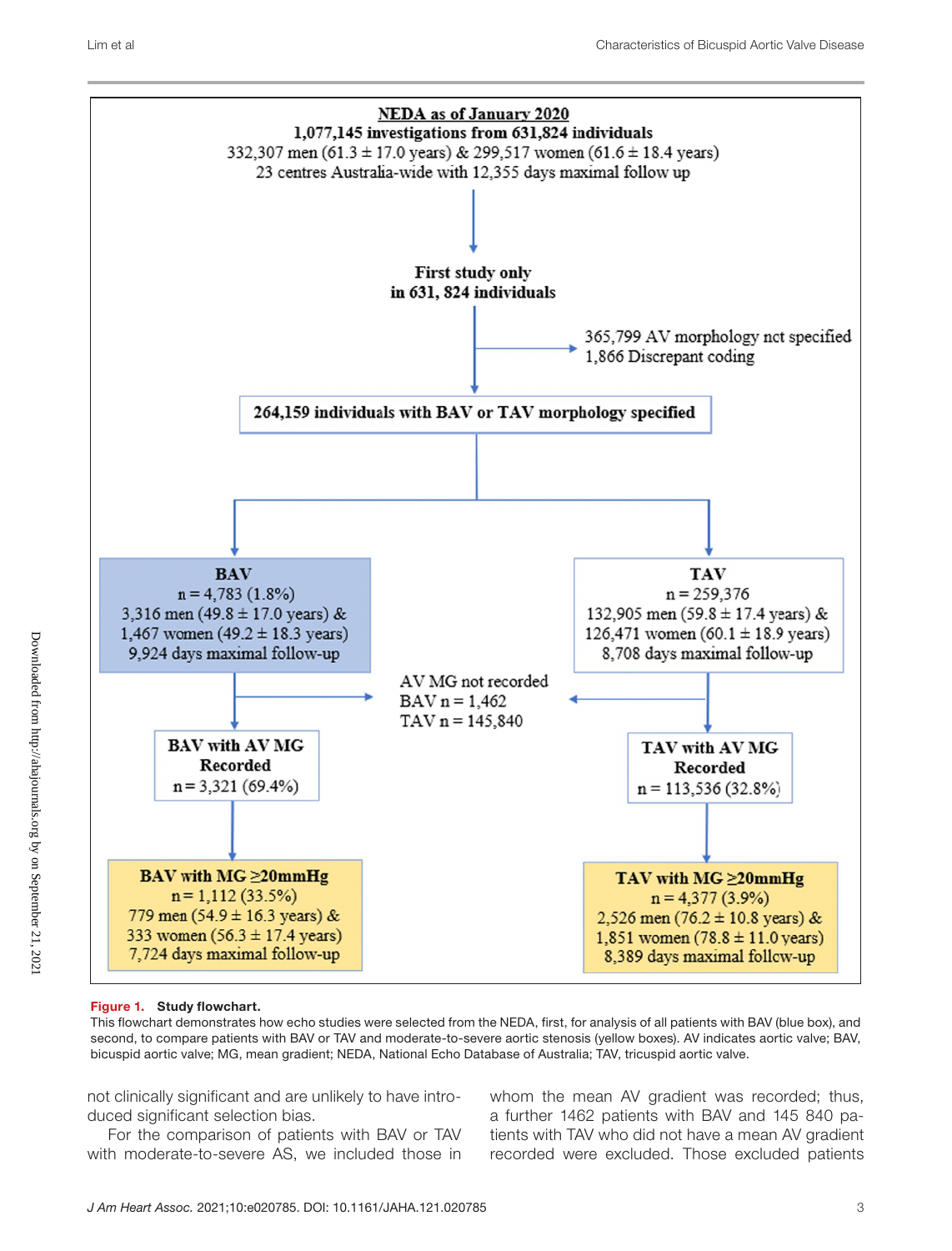

### Figure 1. Study flowchart.

This flowchart demonstrates how echo studies were selected from the NEDA, first, for analysis of all patients with BAV (blue box), and second, to compare patients with BAV or TAV and moderate-to-severe aortic stenosis (yellow boxes). AV indicates aortic valve; BAV, bicuspid aortic valve; MG, mean gradient; NEDA, National Echo Database of Australia; TAV, tricuspid aortic valve.

not clinically significant and are unlikely to have introduced significant selection bias.

For the comparison of patients with BAV or TAV with moderate-to-severe AS, we included those in

whom the mean AV gradient was recorded; thus, a further 1462 patients with BAV and 145 840 patients with TAV who did not have a mean AV gradient recorded were excluded. Those excluded patients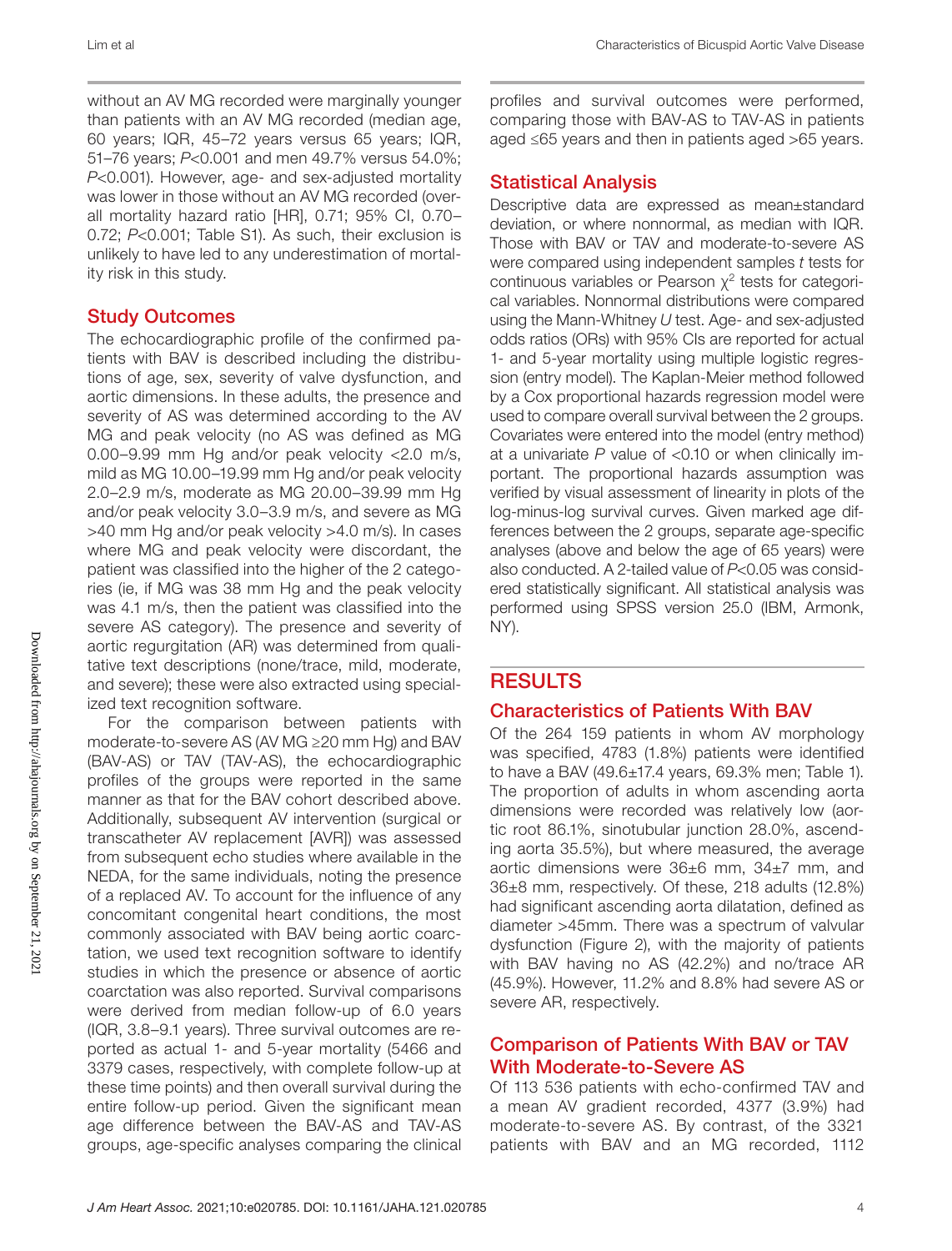without an AV MG recorded were marginally younger than patients with an AV MG recorded (median age, 60 years; IQR, 45–72 years versus 65 years; IQR, 51–76 years; *P*<0.001 and men 49.7% versus 54.0%; *P*<0.001). However, age- and sex-adjusted mortality was lower in those without an AV MG recorded (overall mortality hazard ratio [HR], 0.71; 95% CI, 0.70– 0.72; *P*<0.001; Table S1). As such, their exclusion is unlikely to have led to any underestimation of mortality risk in this study.

# Study Outcomes

The echocardiographic profile of the confirmed patients with BAV is described including the distributions of age, sex, severity of valve dysfunction, and aortic dimensions. In these adults, the presence and severity of AS was determined according to the AV MG and peak velocity (no AS was defined as MG 0.00–9.99 mm Hg and/or peak velocity <2.0 m/s, mild as MG 10.00–19.99 mm Hg and/or peak velocity 2.0–2.9 m/s, moderate as MG 20.00–39.99 mm Hg and/or peak velocity 3.0–3.9 m/s, and severe as MG >40 mm Hg and/or peak velocity >4.0 m/s). In cases where MG and peak velocity were discordant, the patient was classified into the higher of the 2 categories (ie, if MG was 38 mm Hg and the peak velocity was 4.1 m/s, then the patient was classified into the severe AS category). The presence and severity of aortic regurgitation (AR) was determined from qualitative text descriptions (none/trace, mild, moderate, and severe); these were also extracted using specialized text recognition software.

For the comparison between patients with moderate-to-severe AS (AV MG ≥20 mm Hg) and BAV (BAV-AS) or TAV (TAV-AS), the echocardiographic profiles of the groups were reported in the same manner as that for the BAV cohort described above. Additionally, subsequent AV intervention (surgical or transcatheter AV replacement [AVR]) was assessed from subsequent echo studies where available in the NEDA, for the same individuals, noting the presence of a replaced AV. To account for the influence of any concomitant congenital heart conditions, the most commonly associated with BAV being aortic coarctation, we used text recognition software to identify studies in which the presence or absence of aortic coarctation was also reported. Survival comparisons were derived from median follow-up of 6.0 years (IQR, 3.8–9.1 years). Three survival outcomes are reported as actual 1- and 5-year mortality (5466 and 3379 cases, respectively, with complete follow-up at these time points) and then overall survival during the entire follow-up period. Given the significant mean age difference between the BAV-AS and TAV-AS groups, age-specific analyses comparing the clinical profiles and survival outcomes were performed, comparing those with BAV-AS to TAV-AS in patients aged ≤65 years and then in patients aged >65 years.

# Statistical Analysis

Descriptive data are expressed as mean±standard deviation, or where nonnormal, as median with IQR. Those with BAV or TAV and moderate-to-severe AS were compared using independent samples *t* tests for continuous variables or Pearson  $\chi^2$  tests for categorical variables. Nonnormal distributions were compared using the Mann-Whitney *U* test. Age- and sex-adjusted odds ratios (ORs) with 95% CIs are reported for actual 1- and 5-year mortality using multiple logistic regression (entry model). The Kaplan-Meier method followed by a Cox proportional hazards regression model were used to compare overall survival between the 2 groups. Covariates were entered into the model (entry method) at a univariate *P* value of <0.10 or when clinically important. The proportional hazards assumption was verified by visual assessment of linearity in plots of the log-minus-log survival curves. Given marked age differences between the 2 groups, separate age-specific analyses (above and below the age of 65 years) were also conducted. A 2-tailed value of *P*<0.05 was considered statistically significant. All statistical analysis was performed using SPSS version 25.0 (IBM, Armonk, NY).

# **RESULTS**

# Characteristics of Patients With BAV

Of the 264 159 patients in whom AV morphology was specified, 4783 (1.8%) patients were identified to have a BAV (49.6±17.4 years, 69.3% men; Table 1). The proportion of adults in whom ascending aorta dimensions were recorded was relatively low (aortic root 86.1%, sinotubular junction 28.0%, ascending aorta 35.5%), but where measured, the average aortic dimensions were 36±6 mm, 34±7 mm, and 36±8 mm, respectively. Of these, 218 adults (12.8%) had significant ascending aorta dilatation, defined as diameter >45mm. There was a spectrum of valvular dysfunction (Figure 2), with the majority of patients with BAV having no AS (42.2%) and no/trace AR (45.9%). However, 11.2% and 8.8% had severe AS or severe AR, respectively.

### Comparison of Patients With BAV or TAV With Moderate-to-Severe AS

Of 113 536 patients with echo-confirmed TAV and a mean AV gradient recorded, 4377 (3.9%) had moderate-to-severe AS. By contrast, of the 3321 patients with BAV and an MG recorded, 1112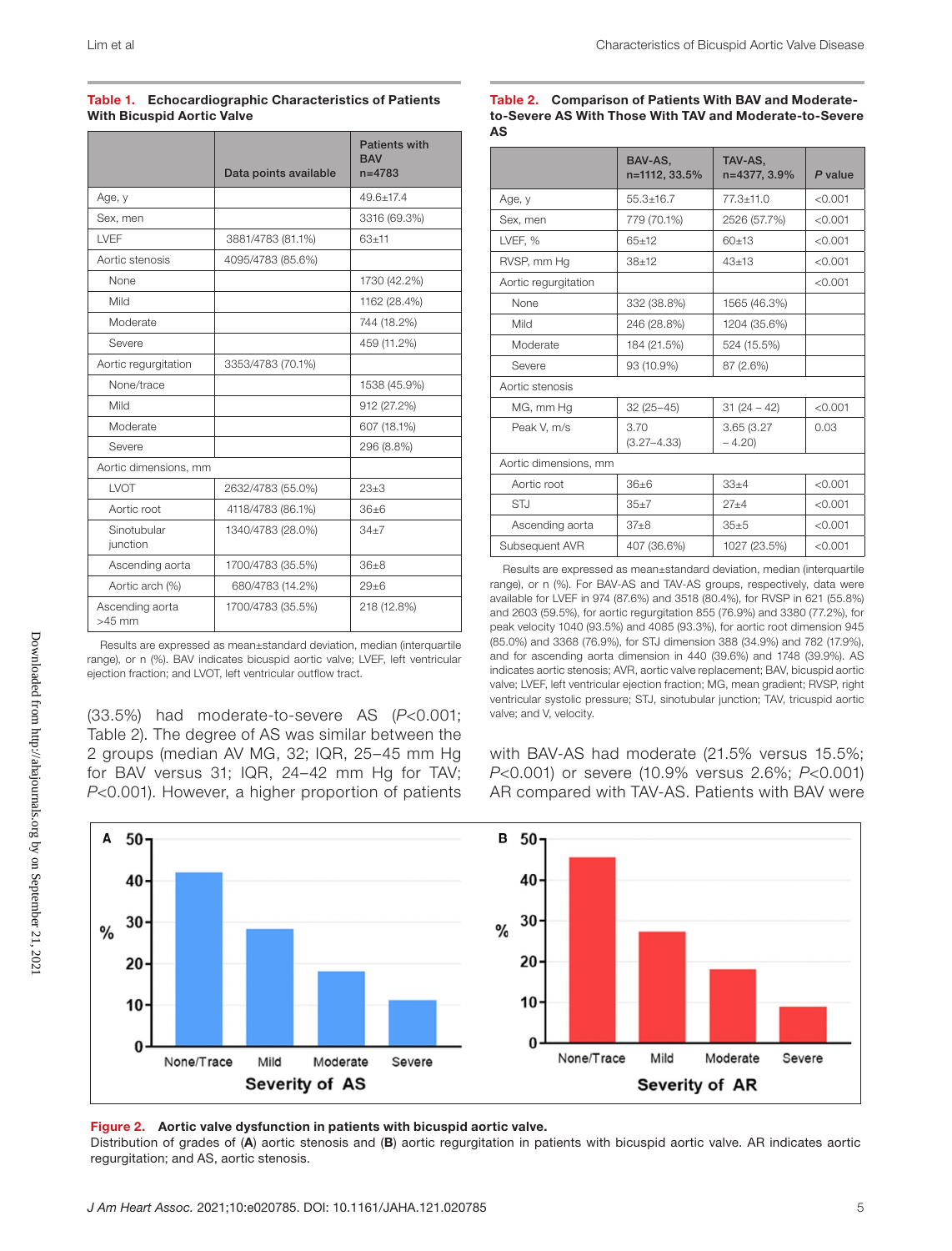| <b>Table 1. Echocardiographic Characteristics of Patients</b> |
|---------------------------------------------------------------|
| <b>With Bicuspid Aortic Valve</b>                             |

|                             | Data points available | <b>Patients with</b><br><b>BAV</b><br>$n = 4783$ |
|-----------------------------|-----------------------|--------------------------------------------------|
| Age, y                      |                       | $49.6 + 17.4$                                    |
| Sex, men                    |                       | 3316 (69.3%)                                     |
| <b>LVFF</b>                 | 3881/4783 (81.1%)     | $63 + 11$                                        |
| Aortic stenosis             | 4095/4783 (85.6%)     |                                                  |
| None                        |                       | 1730 (42.2%)                                     |
| Mild                        |                       | 1162 (28.4%)                                     |
| Moderate                    |                       | 744 (18.2%)                                      |
| Severe                      |                       | 459 (11.2%)                                      |
| Aortic regurgitation        | 3353/4783 (70.1%)     |                                                  |
| None/trace                  |                       | 1538 (45.9%)                                     |
| Mild                        |                       | 912 (27.2%)                                      |
| Moderate                    |                       | 607 (18.1%)                                      |
| Severe                      |                       | 296 (8.8%)                                       |
| Aortic dimensions, mm       |                       |                                                  |
| LVOT                        | 2632/4783 (55.0%)     | $23+3$                                           |
| Aortic root                 | 4118/4783 (86.1%)     | $36\pm 6$                                        |
| Sinotubular<br>junction     | 1340/4783 (28.0%)     | $34 + 7$                                         |
| Ascending aorta             | 1700/4783 (35.5%)     | $36 + 8$                                         |
| Aortic arch (%)             | 680/4783 (14.2%)      | $29 + 6$                                         |
| Ascending aorta<br>$>45$ mm | 1700/4783 (35.5%)     | 218 (12.8%)                                      |

Results are expressed as mean±standard deviation, median (interquartile range), or n (%). BAV indicates bicuspid aortic valve; LVEF, left ventricular ejection fraction; and LVOT, left ventricular outflow tract.

(33.5%) had moderate-to-severe AS (*P*<0.001; Table 2). The degree of AS was similar between the 2 groups (median AV MG, 32; IQR, 25–45 mm Hg for BAV versus 31; IQR, 24–42 mm Hg for TAV; *P*<0.001). However, a higher proportion of patients

Table 2. Comparison of Patients With BAV and Moderateto-Severe AS With Those With TAV and Moderate-to-Severe AS

|                       | BAV-AS.<br>n=1112, 33.5% | TAV-AS.<br>n=4377.3.9% | P value |
|-----------------------|--------------------------|------------------------|---------|
| Age, y                | $55.3 \pm 16.7$          | $77.3 + 11.0$          | < 0.001 |
| Sex, men              | 779 (70.1%)              | 2526 (57.7%)           | < 0.001 |
| LVEF, %               | $65+12$                  | 60±13                  | < 0.001 |
| RVSP, mm Hq           | $38 + 12$                | $43+13$                | < 0.001 |
| Aortic requrgitation  |                          |                        | < 0.001 |
| None                  | 332 (38.8%)              | 1565 (46.3%)           |         |
| Mild                  | 246 (28.8%)              | 1204 (35.6%)           |         |
| Moderate              | 184 (21.5%)              | 524 (15.5%)            |         |
| Severe                | 93 (10.9%)               | 87 (2.6%)              |         |
| Aortic stenosis       |                          |                        |         |
| MG, mm Hg             | $32(25 - 45)$            | $31(24-42)$            | < 0.001 |
| Peak V. m/s           | 3.70<br>$(3.27 - 4.33)$  | 3.65 (3.27)<br>$-4.20$ | 0.03    |
| Aortic dimensions, mm |                          |                        |         |
| Aortic root           | $36\pm 6$                | $33 + 4$               | < 0.001 |
| <b>STJ</b>            | $35 + 7$                 | $27 + 4$               | < 0.001 |
| Ascending aorta       | $37 + 8$                 | 35±5                   | < 0.001 |
| Subsequent AVR        | 407 (36.6%)              | 1027 (23.5%)           | < 0.001 |

Results are expressed as mean±standard deviation, median (interquartile range), or n (%). For BAV-AS and TAV-AS groups, respectively, data were available for LVEF in 974 (87.6%) and 3518 (80.4%), for RVSP in 621 (55.8%) and 2603 (59.5%), for aortic regurgitation 855 (76.9%) and 3380 (77.2%), for peak velocity 1040 (93.5%) and 4085 (93.3%), for aortic root dimension 945 (85.0%) and 3368 (76.9%), for STJ dimension 388 (34.9%) and 782 (17.9%), and for ascending aorta dimension in 440 (39.6%) and 1748 (39.9%). AS indicates aortic stenosis; AVR, aortic valve replacement; BAV, bicuspid aortic valve; LVEF, left ventricular ejection fraction; MG, mean gradient; RVSP, right ventricular systolic pressure; STJ, sinotubular junction; TAV, tricuspid aortic valve; and V, velocity.

with BAV-AS had moderate (21.5% versus 15.5%; *P*<0.001) or severe (10.9% versus 2.6%; *P*<0.001) AR compared with TAV-AS. Patients with BAV were



### Figure 2. Aortic valve dysfunction in patients with bicuspid aortic valve.

Distribution of grades of (A) aortic stenosis and (B) aortic regurgitation in patients with bicuspid aortic valve. AR indicates aortic regurgitation; and AS, aortic stenosis.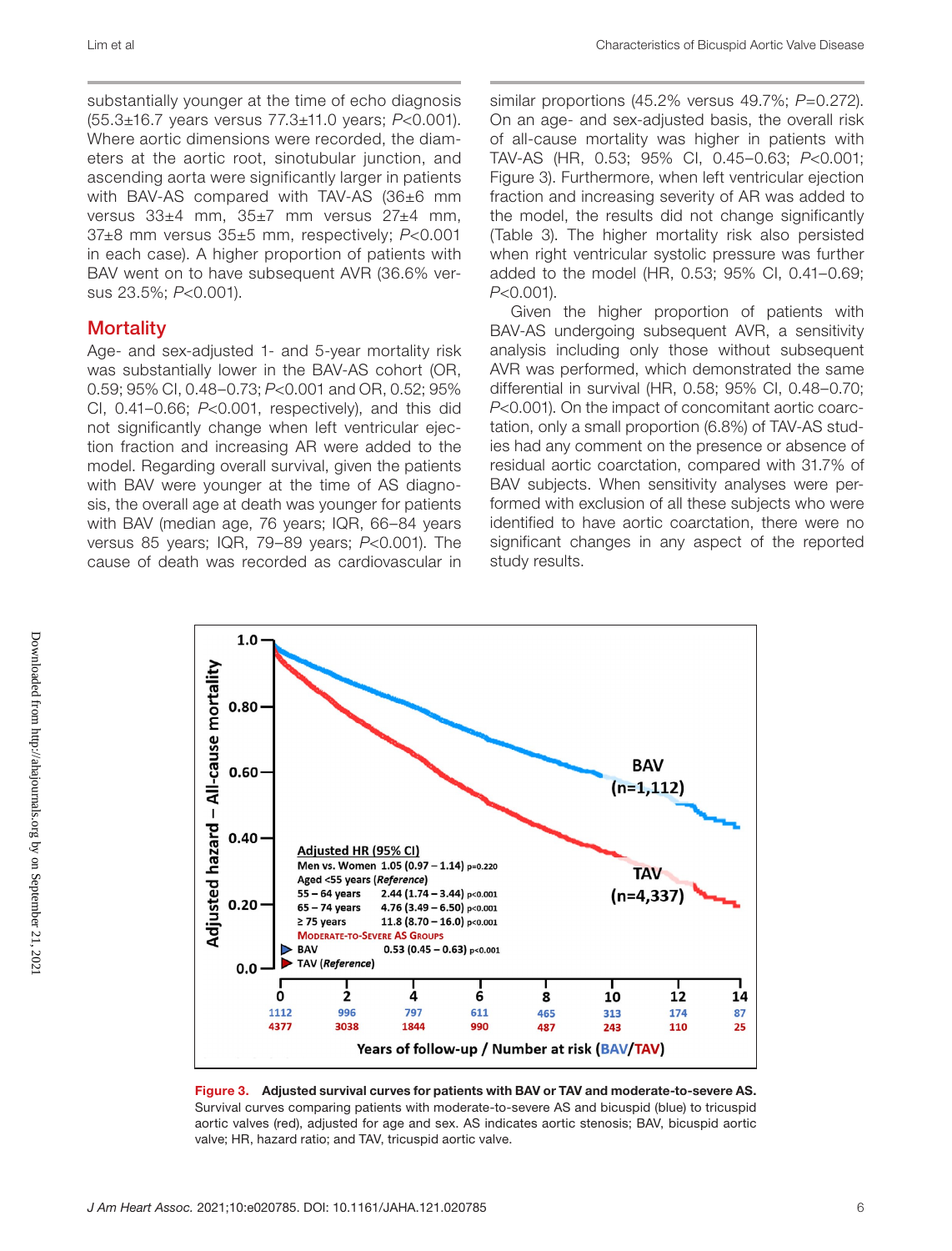substantially younger at the time of echo diagnosis (55.3±16.7 years versus 77.3±11.0 years; *P*<0.001). Where aortic dimensions were recorded, the diameters at the aortic root, sinotubular junction, and ascending aorta were significantly larger in patients with BAV-AS compared with TAV-AS (36±6 mm versus 33±4 mm, 35±7 mm versus 27±4 mm, 37±8 mm versus 35±5 mm, respectively; *P*<0.001 in each case). A higher proportion of patients with BAV went on to have subsequent AVR (36.6% versus 23.5%; *P*<0.001).

# **Mortality**

Age- and sex-adjusted 1- and 5-year mortality risk was substantially lower in the BAV-AS cohort (OR, 0.59; 95% CI, 0.48–0.73; *P*<0.001 and OR, 0.52; 95% CI, 0.41–0.66; *P*<0.001, respectively), and this did not significantly change when left ventricular ejection fraction and increasing AR were added to the model. Regarding overall survival, given the patients with BAV were younger at the time of AS diagnosis, the overall age at death was younger for patients with BAV (median age, 76 years; IQR, 66–84 years versus 85 years; IQR, 79–89 years; *P*<0.001). The cause of death was recorded as cardiovascular in similar proportions (45.2% versus 49.7%; *P*=0.272). On an age- and sex-adjusted basis, the overall risk of all-cause mortality was higher in patients with TAV-AS (HR, 0.53; 95% CI, 0.45–0.63; *P*<0.001; Figure 3). Furthermore, when left ventricular ejection fraction and increasing severity of AR was added to the model, the results did not change significantly (Table 3). The higher mortality risk also persisted when right ventricular systolic pressure was further added to the model (HR, 0.53; 95% CI, 0.41–0.69; *P*<0.001).

Given the higher proportion of patients with BAV-AS undergoing subsequent AVR, a sensitivity analysis including only those without subsequent AVR was performed, which demonstrated the same differential in survival (HR, 0.58; 95% CI, 0.48–0.70; *P*<0.001). On the impact of concomitant aortic coarctation, only a small proportion (6.8%) of TAV-AS studies had any comment on the presence or absence of residual aortic coarctation, compared with 31.7% of BAV subjects. When sensitivity analyses were performed with exclusion of all these subjects who were identified to have aortic coarctation, there were no significant changes in any aspect of the reported study results.



Figure 3. Adjusted survival curves for patients with BAV or TAV and moderate-to-severe AS. Survival curves comparing patients with moderate-to-severe AS and bicuspid (blue) to tricuspid aortic valves (red), adjusted for age and sex. AS indicates aortic stenosis; BAV, bicuspid aortic valve; HR, hazard ratio; and TAV, tricuspid aortic valve.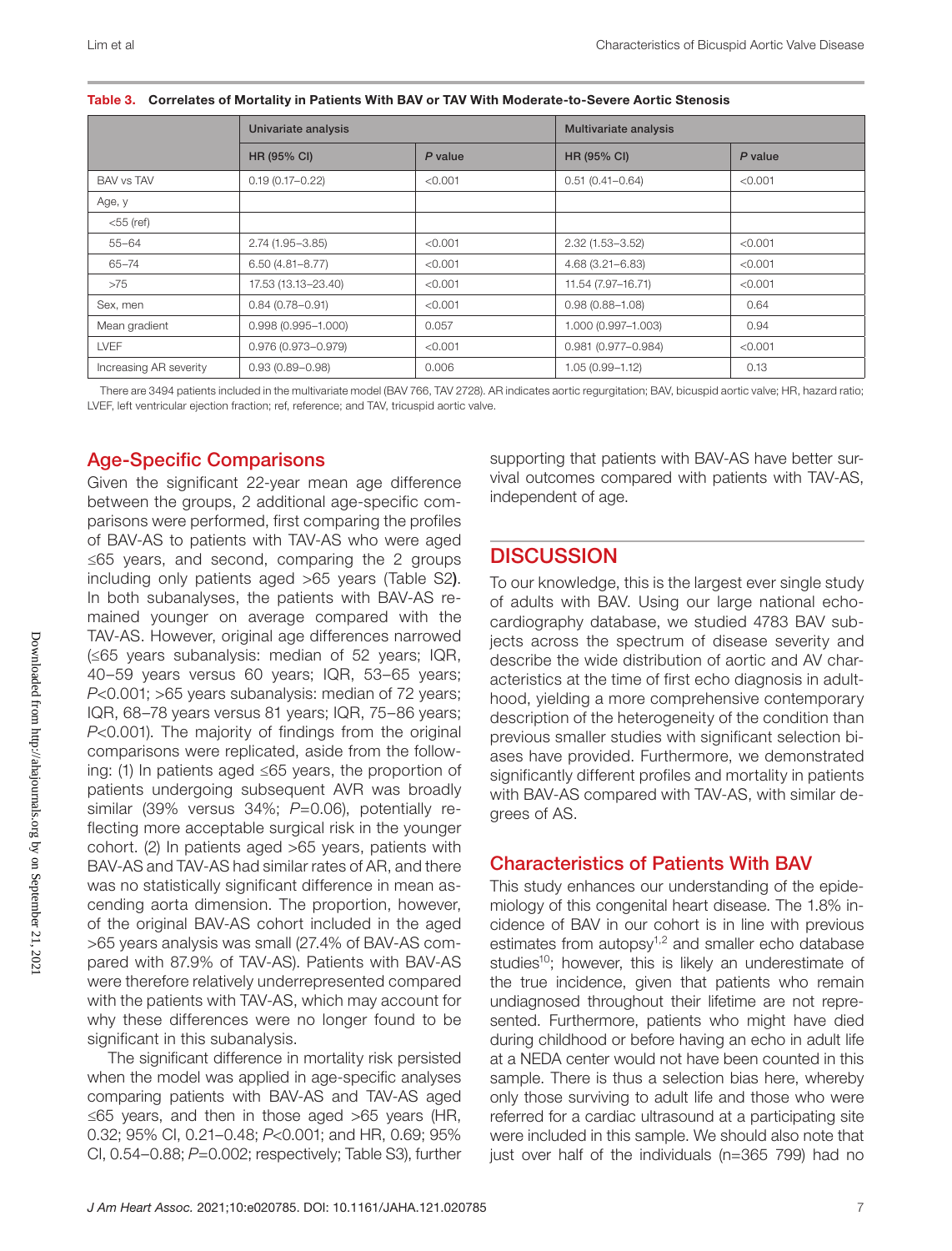|                        | Univariate analysis    |         | Multivariate analysis |         |  |
|------------------------|------------------------|---------|-----------------------|---------|--|
|                        | <b>HR (95% CI)</b>     | P value | <b>HR (95% CI)</b>    | P value |  |
| <b>BAV vs TAV</b>      | $0.19(0.17 - 0.22)$    | < 0.001 | $0.51(0.41 - 0.64)$   | < 0.001 |  |
| Age, y                 |                        |         |                       |         |  |
| $<$ 55 (ref)           |                        |         |                       |         |  |
| $55 - 64$              | $2.74(1.95 - 3.85)$    | < 0.001 | $2.32(1.53 - 3.52)$   | < 0.001 |  |
| $65 - 74$              | $6.50(4.81 - 8.77)$    | < 0.001 | $4.68(3.21 - 6.83)$   | < 0.001 |  |
| >75                    | 17.53 (13.13-23.40)    | < 0.001 | 11.54 (7.97-16.71)    | < 0.001 |  |
| Sex, men               | $0.84(0.78 - 0.91)$    | < 0.001 | $0.98(0.88 - 1.08)$   | 0.64    |  |
| Mean gradient          | $0.998(0.995 - 1.000)$ | 0.057   | 1.000 (0.997-1.003)   | 0.94    |  |
| <b>LVEF</b>            | $0.976(0.973 - 0.979)$ | < 0.001 | 0.981 (0.977-0.984)   | < 0.001 |  |
| Increasing AR severity | $0.93(0.89 - 0.98)$    | 0.006   | $1.05(0.99 - 1.12)$   | 0.13    |  |

| Table 3. Correlates of Mortality in Patients With BAV or TAV With Moderate-to-Severe Aortic Stenosis |  |  |
|------------------------------------------------------------------------------------------------------|--|--|
|                                                                                                      |  |  |

There are 3494 patients included in the multivariate model (BAV 766, TAV 2728). AR indicates aortic regurgitation; BAV, bicuspid aortic valve; HR, hazard ratio; LVEF, left ventricular ejection fraction; ref, reference; and TAV, tricuspid aortic valve.

# Age-Specific Comparisons

Given the significant 22-year mean age difference between the groups, 2 additional age-specific comparisons were performed, first comparing the profiles of BAV-AS to patients with TAV-AS who were aged ≤65 years, and second, comparing the 2 groups including only patients aged >65 years (Table S2). In both subanalyses, the patients with BAV-AS remained younger on average compared with the TAV-AS. However, original age differences narrowed (≤65 years subanalysis: median of 52 years; IQR, 40–59 years versus 60 years; IQR, 53–65 years; *P*<0.001; >65 years subanalysis: median of 72 years; IQR, 68–78 years versus 81 years; IQR, 75–86 years; *P*<0.001). The majority of findings from the original comparisons were replicated, aside from the following: (1) In patients aged ≤65 years, the proportion of patients undergoing subsequent AVR was broadly similar (39% versus 34%; *P*=0.06), potentially reflecting more acceptable surgical risk in the younger cohort. (2) In patients aged >65 years, patients with BAV-AS and TAV-AS had similar rates of AR, and there was no statistically significant difference in mean ascending aorta dimension. The proportion, however, of the original BAV-AS cohort included in the aged >65 years analysis was small (27.4% of BAV-AS compared with 87.9% of TAV-AS). Patients with BAV-AS were therefore relatively underrepresented compared with the patients with TAV-AS, which may account for why these differences were no longer found to be significant in this subanalysis.

The significant difference in mortality risk persisted when the model was applied in age-specific analyses comparing patients with BAV-AS and TAV-AS aged ≤65 years, and then in those aged >65 years (HR, 0.32; 95% CI, 0.21–0.48; *P*<0.001; and HR, 0.69; 95% CI, 0.54–0.88; *P*=0.002; respectively; Table S3), further supporting that patients with BAV-AS have better survival outcomes compared with patients with TAV-AS, independent of age.

# **DISCUSSION**

To our knowledge, this is the largest ever single study of adults with BAV. Using our large national echocardiography database, we studied 4783 BAV subjects across the spectrum of disease severity and describe the wide distribution of aortic and AV characteristics at the time of first echo diagnosis in adulthood, yielding a more comprehensive contemporary description of the heterogeneity of the condition than previous smaller studies with significant selection biases have provided. Furthermore, we demonstrated significantly different profiles and mortality in patients with BAV-AS compared with TAV-AS, with similar degrees of AS.

# Characteristics of Patients With BAV

This study enhances our understanding of the epidemiology of this congenital heart disease. The 1.8% incidence of BAV in our cohort is in line with previous estimates from autopsy<sup>1,2</sup> and smaller echo database studies<sup>10</sup>; however, this is likely an underestimate of the true incidence, given that patients who remain undiagnosed throughout their lifetime are not represented. Furthermore, patients who might have died during childhood or before having an echo in adult life at a NEDA center would not have been counted in this sample. There is thus a selection bias here, whereby only those surviving to adult life and those who were referred for a cardiac ultrasound at a participating site were included in this sample. We should also note that just over half of the individuals (n=365 799) had no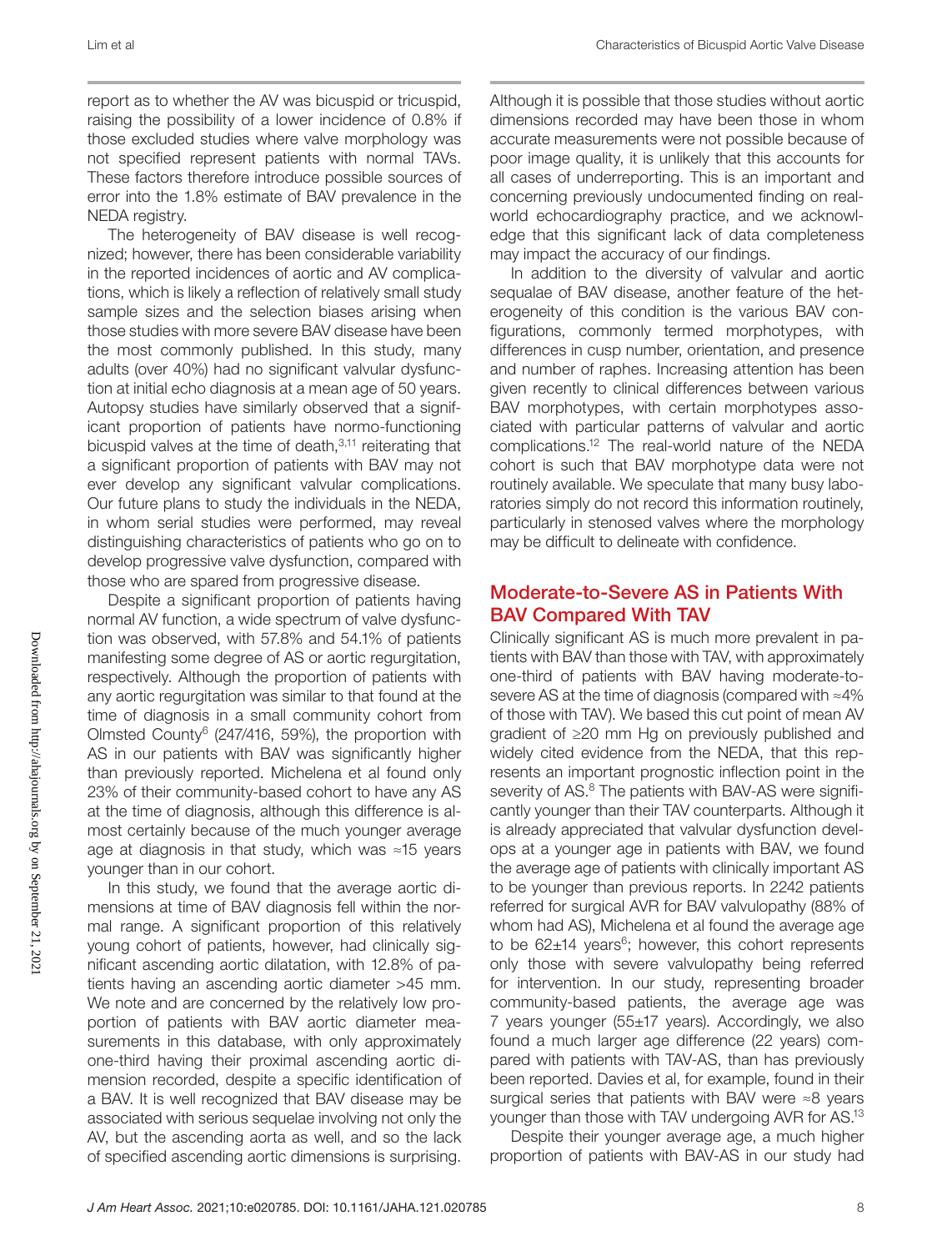report as to whether the AV was bicuspid or tricuspid, raising the possibility of a lower incidence of 0.8% if those excluded studies where valve morphology was not specified represent patients with normal TAVs. These factors therefore introduce possible sources of error into the 1.8% estimate of BAV prevalence in the NEDA registry.

The heterogeneity of BAV disease is well recognized; however, there has been considerable variability in the reported incidences of aortic and AV complications, which is likely a reflection of relatively small study sample sizes and the selection biases arising when those studies with more severe BAV disease have been the most commonly published. In this study, many adults (over 40%) had no significant valvular dysfunction at initial echo diagnosis at a mean age of 50 years. Autopsy studies have similarly observed that a significant proportion of patients have normo-functioning bicuspid valves at the time of death, $3,11$  reiterating that a significant proportion of patients with BAV may not ever develop any significant valvular complications. Our future plans to study the individuals in the NEDA, in whom serial studies were performed, may reveal distinguishing characteristics of patients who go on to develop progressive valve dysfunction, compared with those who are spared from progressive disease.

Despite a significant proportion of patients having normal AV function, a wide spectrum of valve dysfunction was observed, with 57.8% and 54.1% of patients manifesting some degree of AS or aortic regurgitation, respectively. Although the proportion of patients with any aortic regurgitation was similar to that found at the time of diagnosis in a small community cohort from Olmsted County6 (247/416, 59%), the proportion with AS in our patients with BAV was significantly higher than previously reported. Michelena et al found only 23% of their community-based cohort to have any AS at the time of diagnosis, although this difference is almost certainly because of the much younger average age at diagnosis in that study, which was ≈15 years younger than in our cohort.

In this study, we found that the average aortic dimensions at time of BAV diagnosis fell within the normal range. A significant proportion of this relatively young cohort of patients, however, had clinically significant ascending aortic dilatation, with 12.8% of patients having an ascending aortic diameter >45 mm. We note and are concerned by the relatively low proportion of patients with BAV aortic diameter measurements in this database, with only approximately one-third having their proximal ascending aortic dimension recorded, despite a specific identification of a BAV. It is well recognized that BAV disease may be associated with serious sequelae involving not only the AV, but the ascending aorta as well, and so the lack of specified ascending aortic dimensions is surprising.

Although it is possible that those studies without aortic dimensions recorded may have been those in whom accurate measurements were not possible because of poor image quality, it is unlikely that this accounts for all cases of underreporting. This is an important and concerning previously undocumented finding on realworld echocardiography practice, and we acknowledge that this significant lack of data completeness may impact the accuracy of our findings.

In addition to the diversity of valvular and aortic sequalae of BAV disease, another feature of the heterogeneity of this condition is the various BAV configurations, commonly termed morphotypes, with differences in cusp number, orientation, and presence and number of raphes. Increasing attention has been given recently to clinical differences between various BAV morphotypes, with certain morphotypes associated with particular patterns of valvular and aortic complications.12 The real-world nature of the NEDA cohort is such that BAV morphotype data were not routinely available. We speculate that many busy laboratories simply do not record this information routinely, particularly in stenosed valves where the morphology may be difficult to delineate with confidence.

# Moderate-to-Severe AS in Patients With BAV Compared With TAV

Clinically significant AS is much more prevalent in patients with BAV than those with TAV, with approximately one-third of patients with BAV having moderate-tosevere AS at the time of diagnosis (compared with ≈4% of those with TAV). We based this cut point of mean AV gradient of ≥20 mm Hg on previously published and widely cited evidence from the NEDA, that this represents an important prognostic inflection point in the severity of AS.<sup>8</sup> The patients with BAV-AS were significantly younger than their TAV counterparts. Although it is already appreciated that valvular dysfunction develops at a younger age in patients with BAV, we found the average age of patients with clinically important AS to be younger than previous reports. In 2242 patients referred for surgical AVR for BAV valvulopathy (88% of whom had AS), Michelena et al found the average age to be  $62\pm14$  years<sup>6</sup>; however, this cohort represents only those with severe valvulopathy being referred for intervention. In our study, representing broader community-based patients, the average age was 7 years younger (55±17 years). Accordingly, we also found a much larger age difference (22 years) compared with patients with TAV-AS, than has previously been reported. Davies et al, for example, found in their surgical series that patients with BAV were ≈8 years younger than those with TAV undergoing AVR for AS.13

Despite their younger average age, a much higher proportion of patients with BAV-AS in our study had

Downloaded from http://ahajournals.org by on September 21, 2021 Downloaded from http://ahajournals.org by on September 21, 2021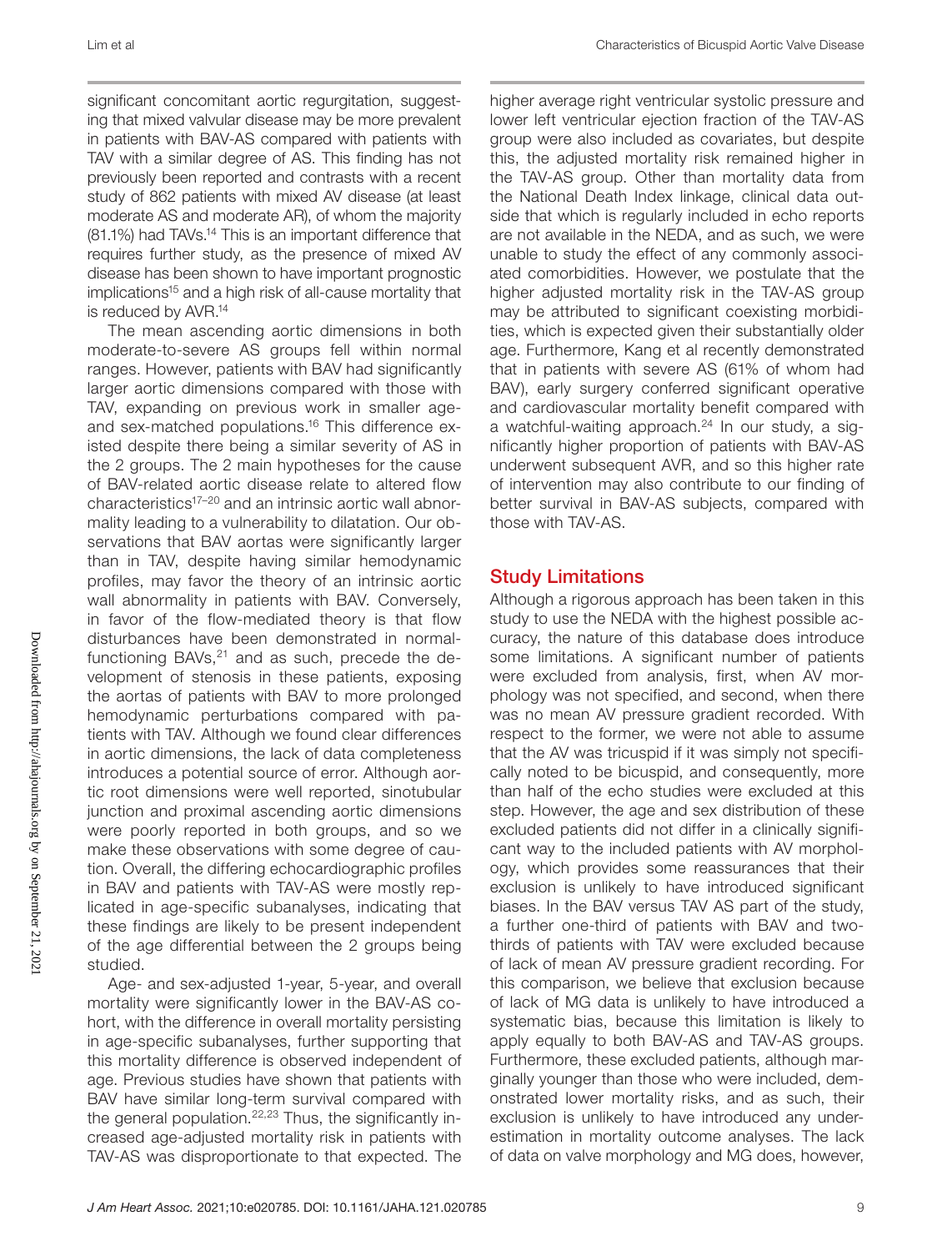Lim et al Characteristics of Bicuspid Aortic Valve Disease

significant concomitant aortic regurgitation, suggesting that mixed valvular disease may be more prevalent in patients with BAV-AS compared with patients with TAV with a similar degree of AS. This finding has not previously been reported and contrasts with a recent study of 862 patients with mixed AV disease (at least moderate AS and moderate AR), of whom the majority (81.1%) had TAVs.14 This is an important difference that requires further study, as the presence of mixed AV disease has been shown to have important prognostic implications<sup>15</sup> and a high risk of all-cause mortality that is reduced by AVR.14

The mean ascending aortic dimensions in both moderate-to-severe AS groups fell within normal ranges. However, patients with BAV had significantly larger aortic dimensions compared with those with TAV, expanding on previous work in smaller ageand sex-matched populations.<sup>16</sup> This difference existed despite there being a similar severity of AS in the 2 groups. The 2 main hypotheses for the cause of BAV-related aortic disease relate to altered flow characteristics17–20 and an intrinsic aortic wall abnormality leading to a vulnerability to dilatation. Our observations that BAV aortas were significantly larger than in TAV, despite having similar hemodynamic profiles, may favor the theory of an intrinsic aortic wall abnormality in patients with BAV. Conversely, in favor of the flow-mediated theory is that flow disturbances have been demonstrated in normalfunctioning BAVs, $21$  and as such, precede the development of stenosis in these patients, exposing the aortas of patients with BAV to more prolonged hemodynamic perturbations compared with patients with TAV. Although we found clear differences in aortic dimensions, the lack of data completeness introduces a potential source of error. Although aortic root dimensions were well reported, sinotubular junction and proximal ascending aortic dimensions were poorly reported in both groups, and so we make these observations with some degree of caution. Overall, the differing echocardiographic profiles in BAV and patients with TAV-AS were mostly replicated in age-specific subanalyses, indicating that these findings are likely to be present independent of the age differential between the 2 groups being studied.

Age- and sex-adjusted 1-year, 5-year, and overall mortality were significantly lower in the BAV-AS cohort, with the difference in overall mortality persisting in age-specific subanalyses, further supporting that this mortality difference is observed independent of age. Previous studies have shown that patients with BAV have similar long-term survival compared with the general population.<sup>22,23</sup> Thus, the significantly increased age-adjusted mortality risk in patients with TAV-AS was disproportionate to that expected. The

lower left ventricular ejection fraction of the TAV-AS group were also included as covariates, but despite this, the adjusted mortality risk remained higher in the TAV-AS group. Other than mortality data from the National Death Index linkage, clinical data outside that which is regularly included in echo reports are not available in the NEDA, and as such, we were unable to study the effect of any commonly associated comorbidities. However, we postulate that the higher adjusted mortality risk in the TAV-AS group may be attributed to significant coexisting morbidities, which is expected given their substantially older age. Furthermore, Kang et al recently demonstrated that in patients with severe AS (61% of whom had BAV), early surgery conferred significant operative and cardiovascular mortality benefit compared with a watchful-waiting approach. $24$  In our study, a significantly higher proportion of patients with BAV-AS underwent subsequent AVR, and so this higher rate of intervention may also contribute to our finding of better survival in BAV-AS subjects, compared with those with TAV-AS.

higher average right ventricular systolic pressure and

# Study Limitations

Although a rigorous approach has been taken in this study to use the NEDA with the highest possible accuracy, the nature of this database does introduce some limitations. A significant number of patients were excluded from analysis, first, when AV morphology was not specified, and second, when there was no mean AV pressure gradient recorded. With respect to the former, we were not able to assume that the AV was tricuspid if it was simply not specifically noted to be bicuspid, and consequently, more than half of the echo studies were excluded at this step. However, the age and sex distribution of these excluded patients did not differ in a clinically significant way to the included patients with AV morphology, which provides some reassurances that their exclusion is unlikely to have introduced significant biases. In the BAV versus TAV AS part of the study, a further one-third of patients with BAV and twothirds of patients with TAV were excluded because of lack of mean AV pressure gradient recording. For this comparison, we believe that exclusion because of lack of MG data is unlikely to have introduced a systematic bias, because this limitation is likely to apply equally to both BAV-AS and TAV-AS groups. Furthermore, these excluded patients, although marginally younger than those who were included, demonstrated lower mortality risks, and as such, their exclusion is unlikely to have introduced any underestimation in mortality outcome analyses. The lack of data on valve morphology and MG does, however,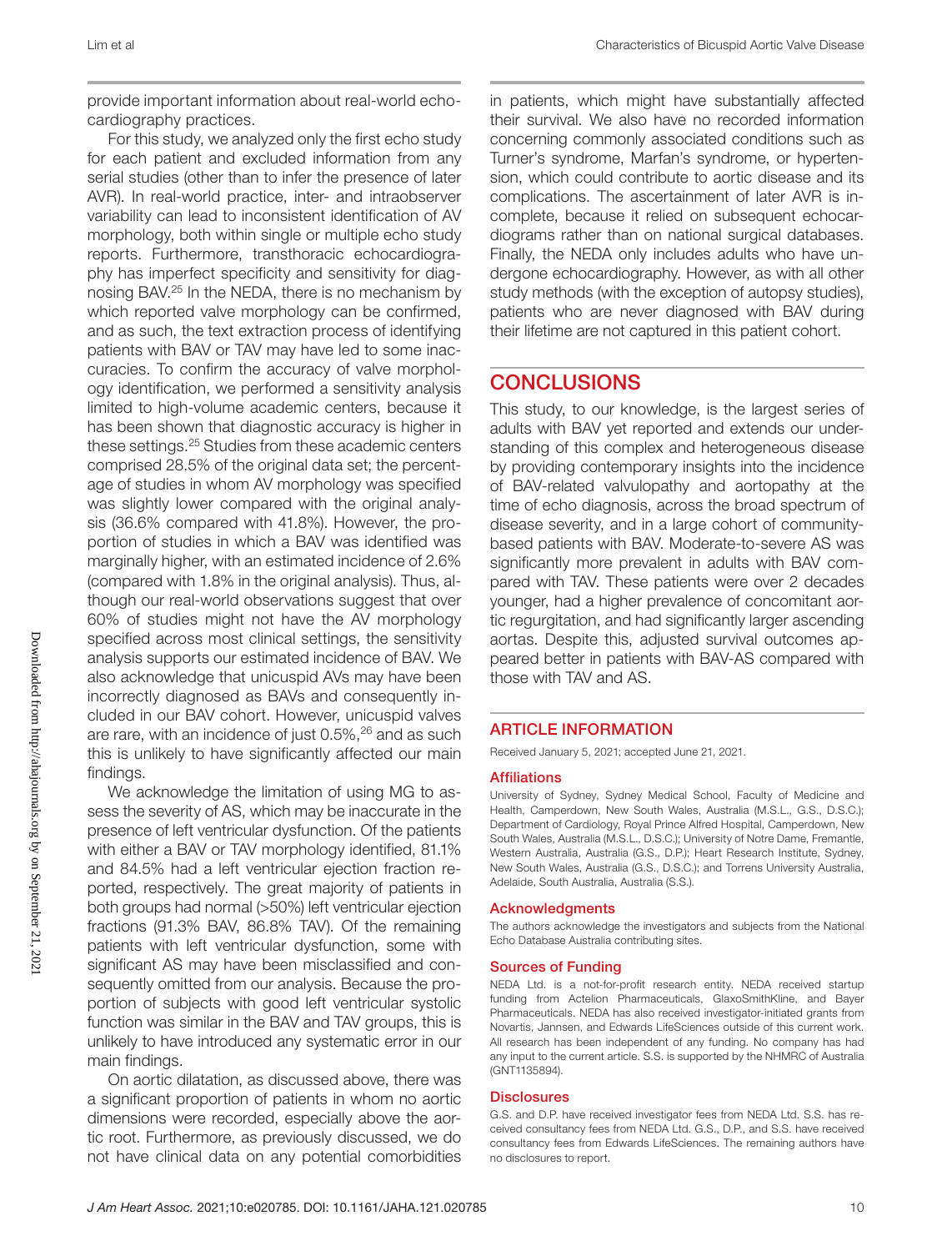Downloaded from http://ahajournals.org by on September 21, 202 Downloaded from http://ahajournals.org by on September 21, 2021

provide important information about real-world echocardiography practices.

For this study, we analyzed only the first echo study for each patient and excluded information from any serial studies (other than to infer the presence of later AVR). In real-world practice, inter- and intraobserver variability can lead to inconsistent identification of AV morphology, both within single or multiple echo study reports. Furthermore, transthoracic echocardiography has imperfect specificity and sensitivity for diagnosing BAV.25 In the NEDA, there is no mechanism by which reported valve morphology can be confirmed, and as such, the text extraction process of identifying patients with BAV or TAV may have led to some inaccuracies. To confirm the accuracy of valve morphology identification, we performed a sensitivity analysis limited to high-volume academic centers, because it has been shown that diagnostic accuracy is higher in these settings.25 Studies from these academic centers comprised 28.5% of the original data set; the percentage of studies in whom AV morphology was specified was slightly lower compared with the original analysis (36.6% compared with 41.8%). However, the proportion of studies in which a BAV was identified was marginally higher, with an estimated incidence of 2.6% (compared with 1.8% in the original analysis). Thus, although our real-world observations suggest that over 60% of studies might not have the AV morphology specified across most clinical settings, the sensitivity analysis supports our estimated incidence of BAV. We also acknowledge that unicuspid AVs may have been incorrectly diagnosed as BAVs and consequently included in our BAV cohort. However, unicuspid valves are rare, with an incidence of just 0.5%,<sup>26</sup> and as such this is unlikely to have significantly affected our main findings.

We acknowledge the limitation of using MG to assess the severity of AS, which may be inaccurate in the presence of left ventricular dysfunction. Of the patients with either a BAV or TAV morphology identified, 81.1% and 84.5% had a left ventricular ejection fraction reported, respectively. The great majority of patients in both groups had normal (>50%) left ventricular ejection fractions (91.3% BAV, 86.8% TAV). Of the remaining patients with left ventricular dysfunction, some with significant AS may have been misclassified and consequently omitted from our analysis. Because the proportion of subjects with good left ventricular systolic function was similar in the BAV and TAV groups, this is unlikely to have introduced any systematic error in our main findings.

On aortic dilatation, as discussed above, there was a significant proportion of patients in whom no aortic dimensions were recorded, especially above the aortic root. Furthermore, as previously discussed, we do not have clinical data on any potential comorbidities in patients, which might have substantially affected their survival. We also have no recorded information concerning commonly associated conditions such as Turner's syndrome, Marfan's syndrome, or hypertension, which could contribute to aortic disease and its complications. The ascertainment of later AVR is incomplete, because it relied on subsequent echocardiograms rather than on national surgical databases. Finally, the NEDA only includes adults who have undergone echocardiography. However, as with all other study methods (with the exception of autopsy studies), patients who are never diagnosed with BAV during their lifetime are not captured in this patient cohort.

# **CONCLUSIONS**

This study, to our knowledge, is the largest series of adults with BAV yet reported and extends our understanding of this complex and heterogeneous disease by providing contemporary insights into the incidence of BAV-related valvulopathy and aortopathy at the time of echo diagnosis, across the broad spectrum of disease severity, and in a large cohort of communitybased patients with BAV. Moderate-to-severe AS was significantly more prevalent in adults with BAV compared with TAV. These patients were over 2 decades younger, had a higher prevalence of concomitant aortic regurgitation, and had significantly larger ascending aortas. Despite this, adjusted survival outcomes appeared better in patients with BAV-AS compared with those with TAV and AS.

### ARTICLE INFORMATION

Received January 5, 2021; accepted June 21, 2021.

### Affiliations

University of Sydney, Sydney Medical School, Faculty of Medicine and Health, Camperdown, New South Wales, Australia (M.S.L., G.S., D.S.C.); Department of Cardiology, Royal Prince Alfred Hospital, Camperdown, New South Wales, Australia (M.S.L., D.S.C.); University of Notre Dame, Fremantle, Western Australia, Australia (G.S., D.P.); Heart Research Institute, Sydney, New South Wales, Australia (G.S., D.S.C.); and Torrens University Australia, Adelaide, South Australia, Australia (S.S.).

### Acknowledgments

The authors acknowledge the investigators and subjects from the National Echo Database Australia contributing sites.

### Sources of Funding

NEDA Ltd. is a not-for-profit research entity. NEDA received startup funding from Actelion Pharmaceuticals, GlaxoSmithKline, and Bayer Pharmaceuticals. NEDA has also received investigator-initiated grants from Novartis, Jannsen, and Edwards LifeSciences outside of this current work. All research has been independent of any funding. No company has had any input to the current article. S.S. is supported by the NHMRC of Australia (GNT1135894).

### **Disclosures**

G.S. and D.P. have received investigator fees from NEDA Ltd. S.S. has received consultancy fees from NEDA Ltd. G.S., D.P., and S.S. have received consultancy fees from Edwards LifeSciences. The remaining authors have no disclosures to report.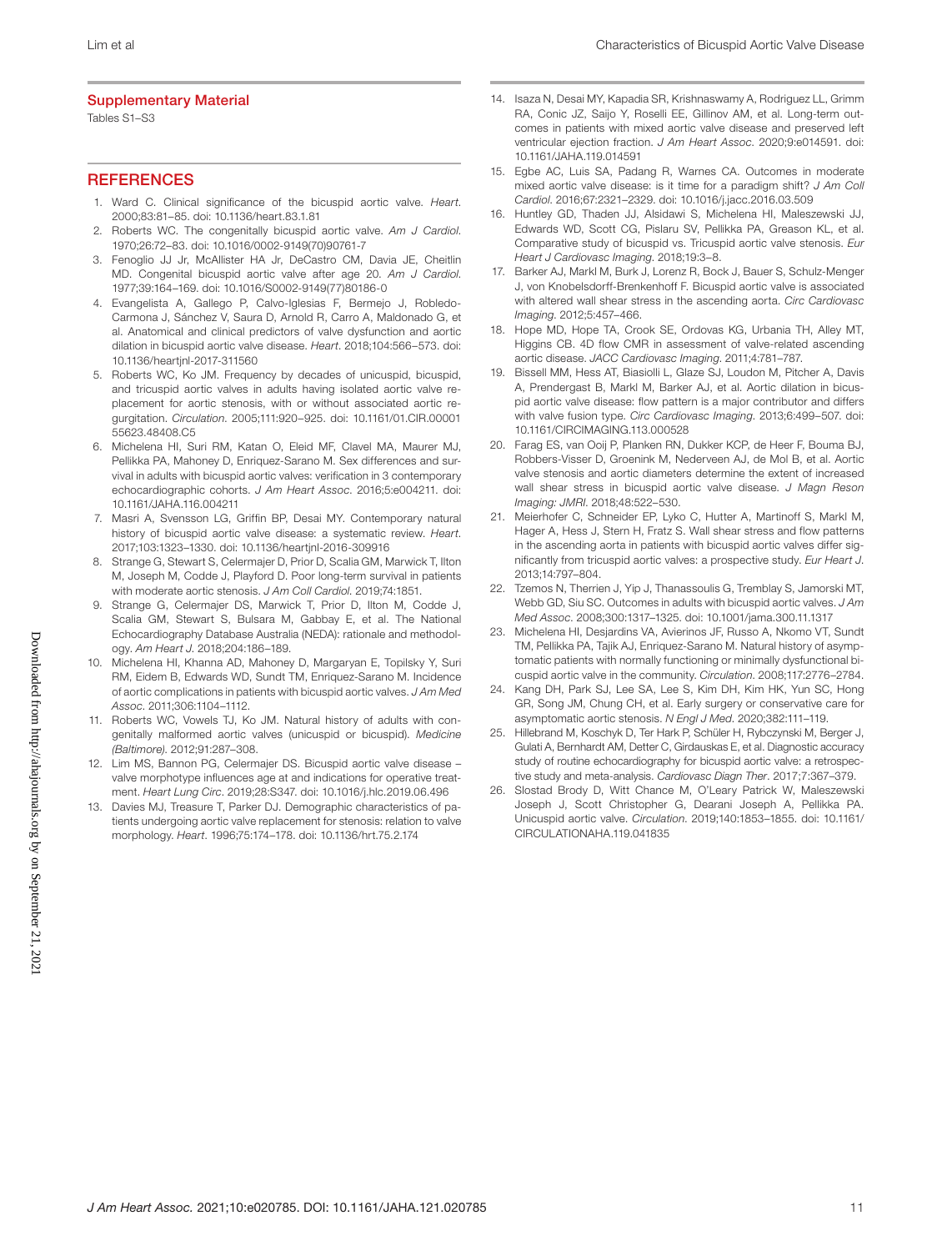### Supplementary Material

Tables S1–S3

### **REFERENCES**

- 1. Ward C. Clinical significance of the bicuspid aortic valve. *Heart*. 2000;83:81–85. doi: [10.1136/heart.83.1.81](https://doi.org/10.1136/heart.83.1.81)
- 2. Roberts WC. The congenitally bicuspid aortic valve. *Am J Cardiol*. 1970;26:72–83. doi: [10.1016/0002-9149\(70\)90761-7](https://doi.org/10.1016/0002-9149(70)90761-7)
- 3. Fenoglio JJ Jr, McAllister HA Jr, DeCastro CM, Davia JE, Cheitlin MD. Congenital bicuspid aortic valve after age 20. *Am J Cardiol*. 1977;39:164–169. doi: [10.1016/S0002-9149\(77\)80186-0](https://doi.org/10.1016/S0002-9149(77)80186-0)
- 4. Evangelista A, Gallego P, Calvo-Iglesias F, Bermejo J, Robledo-Carmona J, Sánchez V, Saura D, Arnold R, Carro A, Maldonado G, et al. Anatomical and clinical predictors of valve dysfunction and aortic dilation in bicuspid aortic valve disease. *Heart*. 2018;104:566–573. doi: [10.1136/heartjnl-2017-311560](https://doi.org/10.1136/heartjnl-2017-311560)
- 5. Roberts WC, Ko JM. Frequency by decades of unicuspid, bicuspid, and tricuspid aortic valves in adults having isolated aortic valve replacement for aortic stenosis, with or without associated aortic regurgitation. *Circulation*. 2005;111:920–925. doi: [10.1161/01.CIR.00001](https://doi.org/10.1161/01.CIR.0000155623.48408.C5) [55623.48408.C5](https://doi.org/10.1161/01.CIR.0000155623.48408.C5)
- 6. Michelena HI, Suri RM, Katan O, Eleid MF, Clavel MA, Maurer MJ, Pellikka PA, Mahoney D, Enriquez-Sarano M. Sex differences and survival in adults with bicuspid aortic valves: verification in 3 contemporary echocardiographic cohorts. *J Am Heart Assoc*. 2016;5:e004211. doi: [10.1161/JAHA.116.004211](https://doi.org/10.1161/JAHA.116.004211)
- 7. Masri A, Svensson LG, Griffin BP, Desai MY. Contemporary natural history of bicuspid aortic valve disease: a systematic review. *Heart*. 2017;103:1323–1330. doi: [10.1136/heartjnl-2016-309916](https://doi.org/10.1136/heartjnl-2016-309916)
- 8. Strange G, Stewart S, Celermajer D, Prior D, Scalia GM, Marwick T, Ilton M, Joseph M, Codde J, Playford D. Poor long-term survival in patients with moderate aortic stenosis. *J Am Coll Cardiol*. 2019;74:1851.
- 9. Strange G, Celermajer DS, Marwick T, Prior D, Ilton M, Codde J, Scalia GM, Stewart S, Bulsara M, Gabbay E, et al. The National Echocardiography Database Australia (NEDA): rationale and methodology. *Am Heart J*. 2018;204:186–189.
- 10. Michelena HI, Khanna AD, Mahoney D, Margaryan E, Topilsky Y, Suri RM, Eidem B, Edwards WD, Sundt TM, Enriquez-Sarano M. Incidence of aortic complications in patients with bicuspid aortic valves. *J Am Med Assoc*. 2011;306:1104–1112.
- 11. Roberts WC, Vowels TJ, Ko JM. Natural history of adults with congenitally malformed aortic valves (unicuspid or bicuspid). *Medicine (Baltimore)*. 2012;91:287–308.
- 12. Lim MS, Bannon PG, Celermajer DS. Bicuspid aortic valve disease valve morphotype influences age at and indications for operative treatment. *Heart Lung Circ*. 2019;28:S347. doi: [10.1016/j.hlc.2019.06.496](https://doi.org/10.1016/j.hlc.2019.06.496)
- 13. Davies MJ, Treasure T, Parker DJ. Demographic characteristics of patients undergoing aortic valve replacement for stenosis: relation to valve morphology. *Heart*. 1996;75:174–178. doi: [10.1136/hrt.75.2.174](https://doi.org/10.1136/hrt.75.2.174)
- 14. Isaza N, Desai MY, Kapadia SR, Krishnaswamy A, Rodriguez LL, Grimm RA, Conic JZ, Saijo Y, Roselli EE, Gillinov AM, et al. Long-term outcomes in patients with mixed aortic valve disease and preserved left ventricular ejection fraction. *J Am Heart Assoc*. 2020;9:e014591. doi: [10.1161/JAHA.119.014591](https://doi.org/10.1161/JAHA.119.014591)
- 15. Egbe AC, Luis SA, Padang R, Warnes CA. Outcomes in moderate mixed aortic valve disease: is it time for a paradigm shift? *J Am Coll Cardiol*. 2016;67:2321–2329. doi: [10.1016/j.jacc.2016.03.509](https://doi.org/10.1016/j.jacc.2016.03.509)
- 16. Huntley GD, Thaden JJ, Alsidawi S, Michelena HI, Maleszewski JJ, Edwards WD, Scott CG, Pislaru SV, Pellikka PA, Greason KL, et al. Comparative study of bicuspid vs. Tricuspid aortic valve stenosis. *Eur Heart J Cardiovasc Imaging*. 2018;19:3–8.
- 17. Barker AJ, Markl M, Burk J, Lorenz R, Bock J, Bauer S, Schulz-Menger J, von Knobelsdorff-Brenkenhoff F. Bicuspid aortic valve is associated with altered wall shear stress in the ascending aorta. *Circ Cardiovasc Imaging*. 2012;5:457–466.
- 18. Hope MD, Hope TA, Crook SE, Ordovas KG, Urbania TH, Alley MT, Higgins CB, 4D flow CMR in assessment of valve-related ascending aortic disease. *JACC Cardiovasc Imaging*. 2011;4:781–787.
- 19. Bissell MM, Hess AT, Biasiolli L, Glaze SJ, Loudon M, Pitcher A, Davis A, Prendergast B, Markl M, Barker AJ, et al. Aortic dilation in bicuspid aortic valve disease: flow pattern is a major contributor and differs with valve fusion type. *Circ Cardiovasc Imaging*. 2013;6:499–507. doi: [10.1161/CIRCIMAGING.113.000528](https://doi.org/10.1161/CIRCIMAGING.113.000528)
- 20. Farag ES, van Ooij P, Planken RN, Dukker KCP, de Heer F, Bouma BJ, Robbers-Visser D, Groenink M, Nederveen AJ, de Mol B, et al. Aortic valve stenosis and aortic diameters determine the extent of increased wall shear stress in bicuspid aortic valve disease. *J Magn Reson Imaging: JMRI*. 2018;48:522–530.
- 21. Meierhofer C, Schneider EP, Lyko C, Hutter A, Martinoff S, Markl M, Hager A, Hess J, Stern H, Fratz S. Wall shear stress and flow patterns in the ascending aorta in patients with bicuspid aortic valves differ significantly from tricuspid aortic valves: a prospective study. *Eur Heart J*. 2013;14:797–804.
- 22. Tzemos N, Therrien J, Yip J, Thanassoulis G, Tremblay S, Jamorski MT, Webb GD, Siu SC. Outcomes in adults with bicuspid aortic valves. *J Am Med Assoc*. 2008;300:1317–1325. doi: [10.1001/jama.300.11.1317](https://doi.org/10.1001/jama.300.11.1317)
- 23. Michelena HI, Desjardins VA, Avierinos JF, Russo A, Nkomo VT, Sundt TM, Pellikka PA, Tajik AJ, Enriquez-Sarano M. Natural history of asymptomatic patients with normally functioning or minimally dysfunctional bicuspid aortic valve in the community. *Circulation*. 2008;117:2776–2784.
- 24. Kang DH, Park SJ, Lee SA, Lee S, Kim DH, Kim HK, Yun SC, Hong GR, Song JM, Chung CH, et al. Early surgery or conservative care for asymptomatic aortic stenosis. *N Engl J Med*. 2020;382:111–119.
- 25. Hillebrand M, Koschyk D, Ter Hark P, Schüler H, Rybczynski M, Berger J, Gulati A, Bernhardt AM, Detter C, Girdauskas E, et al. Diagnostic accuracy study of routine echocardiography for bicuspid aortic valve: a retrospective study and meta-analysis. *Cardiovasc Diagn Ther*. 2017;7:367–379.
- 26. Slostad Brody D, Witt Chance M, O'Leary Patrick W, Maleszewski Joseph J, Scott Christopher G, Dearani Joseph A, Pellikka PA. Unicuspid aortic valve. *Circulation*. 2019;140:1853–1855. doi: [10.1161/](https://doi.org/10.1161/CIRCULATIONAHA.119.041835) [CIRCULATIONAHA.119.041835](https://doi.org/10.1161/CIRCULATIONAHA.119.041835)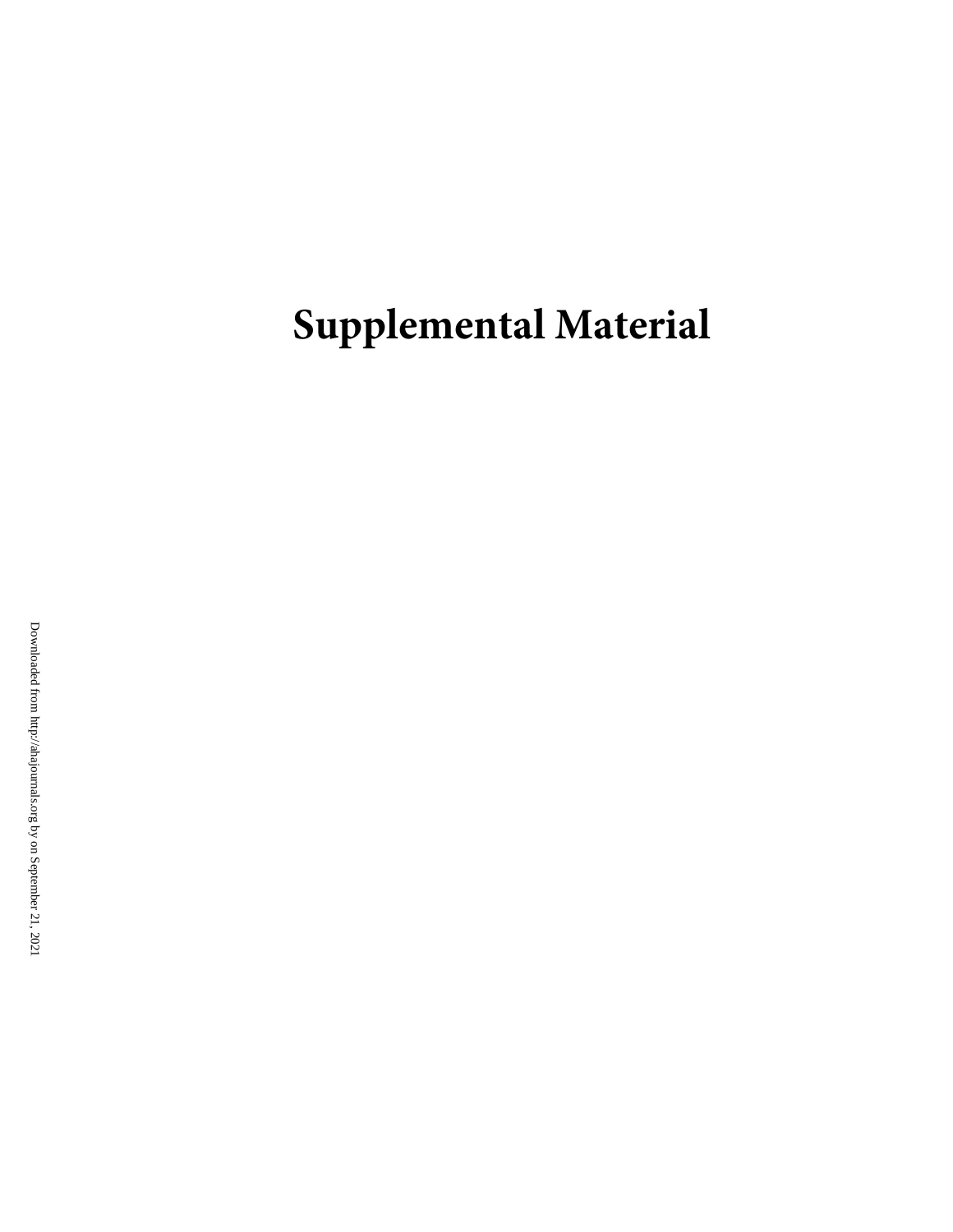**Supplemental Material**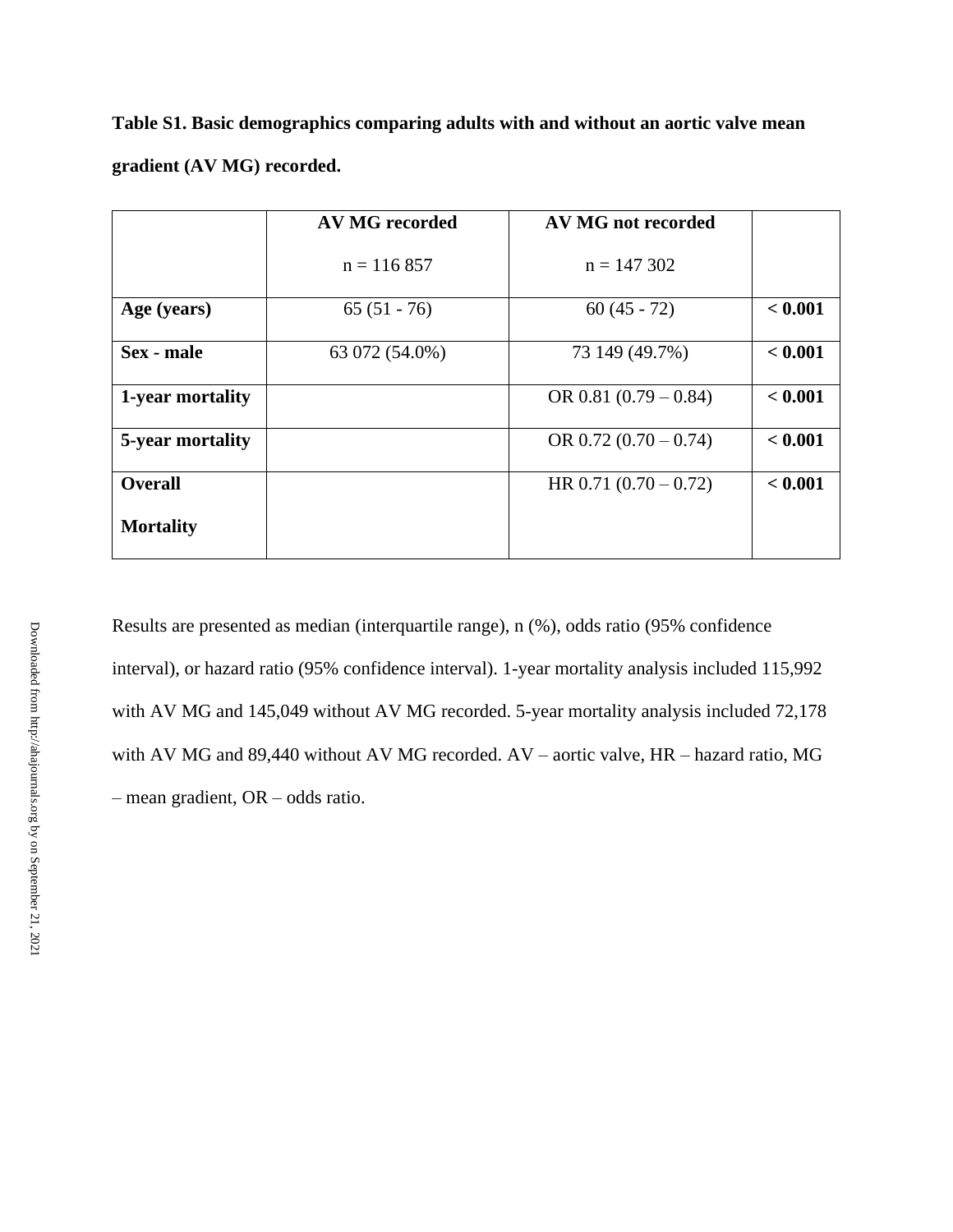| Table S1. Basic demographics comparing adults with and without an aortic valve mean |  |  |
|-------------------------------------------------------------------------------------|--|--|
| gradient (AV MG) recorded.                                                          |  |  |

|                  | <b>AV MG recorded</b> | AV MG not recorded      |         |
|------------------|-----------------------|-------------------------|---------|
|                  | $n = 116857$          | $n = 147302$            |         |
| Age (years)      | $65(51 - 76)$         | $60(45 - 72)$           | < 0.001 |
| Sex - male       | 63 072 (54.0%)        | 73 149 (49.7%)          | < 0.001 |
| 1-year mortality |                       | OR 0.81 $(0.79 - 0.84)$ | < 0.001 |
| 5-year mortality |                       | OR $0.72(0.70-0.74)$    | < 0.001 |
| <b>Overall</b>   |                       | HR $0.71(0.70-0.72)$    | < 0.001 |
| <b>Mortality</b> |                       |                         |         |

Results are presented as median (interquartile range), n (%), odds ratio (95% confidence interval), or hazard ratio (95% confidence interval). 1-year mortality analysis included 115,992 with AV MG and 145,049 without AV MG recorded. 5-year mortality analysis included 72,178 with AV MG and 89,440 without AV MG recorded. AV – aortic valve, HR – hazard ratio, MG – mean gradient, OR – odds ratio.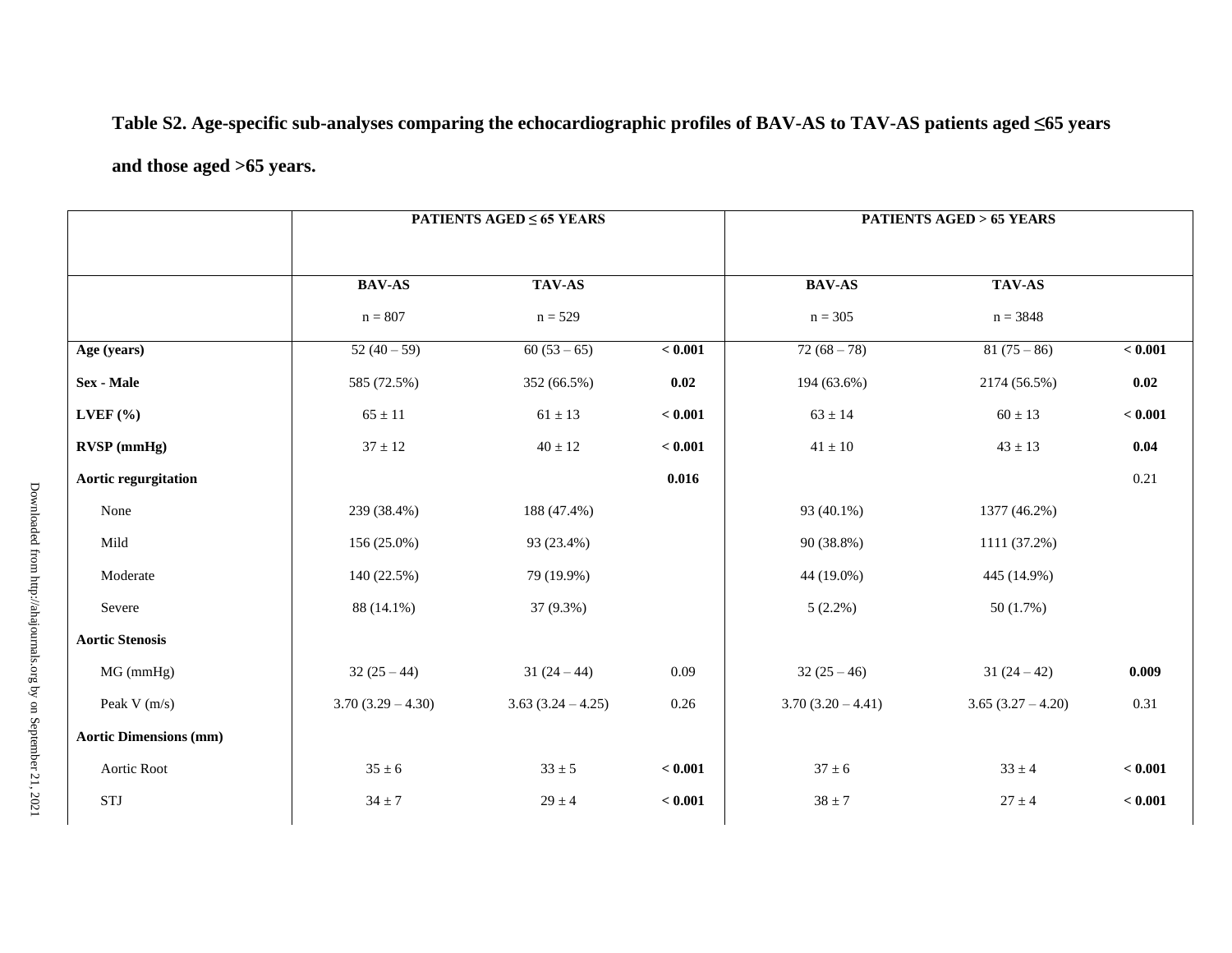# **Table S2. Age-specific sub-analyses comparing the echocardiographic profiles of BAV-AS to TAV-AS patients aged ≤65 years**

# **and those aged >65 years.**

| <b>PATIENTS AGED <math>\leq 65</math> YEARS</b> |                     |         | <b>PATIENTS AGED &gt; 65 YEARS</b> |                   |         |  |
|-------------------------------------------------|---------------------|---------|------------------------------------|-------------------|---------|--|
| <b>BAV-AS</b>                                   | TAV-AS              |         | <b>BAV-AS</b>                      | TAV-AS            |         |  |
| $n = 807$                                       | $n = 529$           |         | $n = 305$                          | $n = 3848$        |         |  |
| $52(40-59)$                                     | $60(53-65)$         | < 0.001 | $72(68-78)$                        | $81(75-86)$       | < 0.001 |  |
| 585 (72.5%)                                     | 352 (66.5%)         | 0.02    | 194 (63.6%)                        | 2174 (56.5%)      | 0.02    |  |
| $65 \pm 11$                                     | $61 \pm 13$         | < 0.001 | $63 \pm 14$                        | $60 \pm 13$       | < 0.001 |  |
| $37\pm12$                                       | $40 \pm 12$         | < 0.001 | $41 \pm 10$                        | $43 \pm 13$       | 0.04    |  |
|                                                 |                     | 0.016   |                                    |                   | 0.21    |  |
| 239 (38.4%)                                     | 188 (47.4%)         |         | 93 (40.1%)                         | 1377 (46.2%)      |         |  |
| 156 (25.0%)                                     | 93 (23.4%)          |         | 90 (38.8%)                         | 1111 (37.2%)      |         |  |
| 140 (22.5%)                                     | 79 (19.9%)          |         | 44 (19.0%)                         | 445 (14.9%)       |         |  |
| 88 (14.1%)                                      | 37 (9.3%)           |         | $5(2.2\%)$                         | 50(1.7%)          |         |  |
|                                                 |                     |         |                                    |                   |         |  |
| $32(25-44)$                                     | $31(24-44)$         | 0.09    | $32(25-46)$                        | $31(24-42)$       | 0.009   |  |
| $3.70(3.29 - 4.30)$                             | $3.63(3.24 - 4.25)$ | 0.26    | $3.70(3.20 - 4.41)$                | $3.65(3.27-4.20)$ | 0.31    |  |
|                                                 |                     |         |                                    |                   |         |  |
| $35 \pm 6$                                      | $33 \pm 5$          | < 0.001 | $37 \pm 6$                         | $33 \pm 4$        | < 0.001 |  |
| $34 \pm 7$                                      | $29 \pm 4$          | < 0.001 | $38 \pm 7$                         | $27 \pm 4$        | < 0.001 |  |
|                                                 |                     |         |                                    |                   |         |  |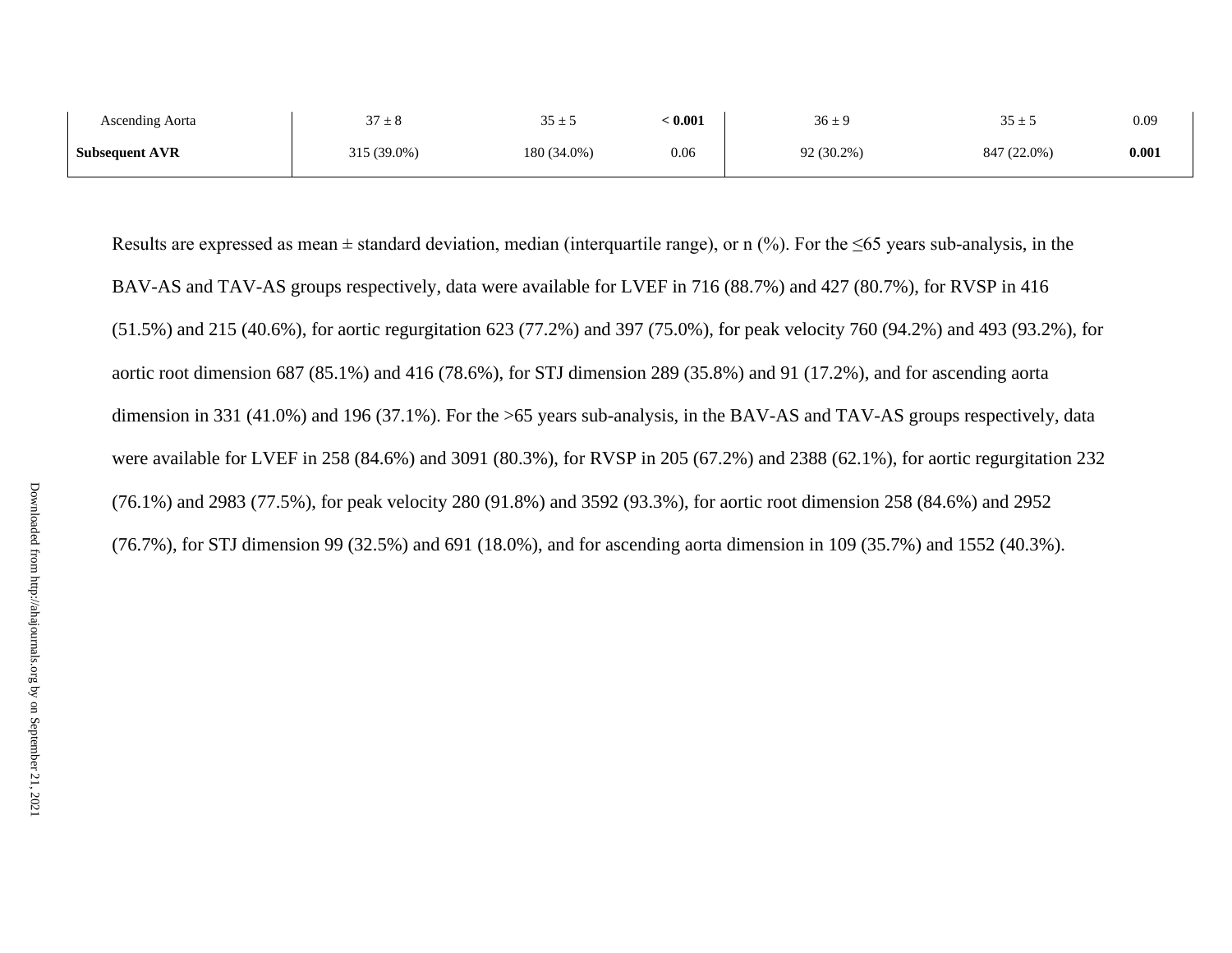| Ascending Aorta       | $27 +$<br>$J / \pm 0$ | $35 + 5$<br>ب ⊥ رر | : 0.001 | $36 \pm 9$ | $35 \pm 5$  | 0.09  |
|-----------------------|-----------------------|--------------------|---------|------------|-------------|-------|
| <b>Subsequent AVR</b> | 315 (39.0%)           | 180 (34.0%)        | 0.06    | 92 (30.2%) | 847 (22.0%) | 0.001 |

Results are expressed as mean  $\pm$  standard deviation, median (interquartile range), or n (%). For the  $\leq 65$  years sub-analysis, in the BAV-AS and TAV-AS groups respectively, data were available for LVEF in 716 (88.7%) and 427 (80.7%), for RVSP in 416 (51.5%) and 215 (40.6%), for aortic regurgitation 623 (77.2%) and 397 (75.0%), for peak velocity 760 (94.2%) and 493 (93.2%), for aortic root dimension 687 (85.1%) and 416 (78.6%), for STJ dimension 289 (35.8%) and 91 (17.2%), and for ascending aorta dimension in 331 (41.0%) and 196 (37.1%). For the >65 years sub-analysis, in the BAV-AS and TAV-AS groups respectively, data were available for LVEF in 258 (84.6%) and 3091 (80.3%), for RVSP in 205 (67.2%) and 2388 (62.1%), for aortic regurgitation 232 (76.1%) and 2983 (77.5%), for peak velocity 280 (91.8%) and 3592 (93.3%), for aortic root dimension 258 (84.6%) and 2952 (76.7%), for STJ dimension 99 (32.5%) and 691 (18.0%), and for ascending aorta dimension in 109 (35.7%) and 1552 (40.3%).